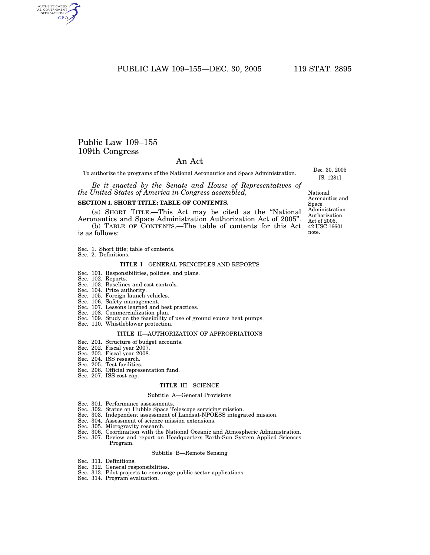PUBLIC LAW 109-155-DEC. 30, 2005 119 STAT. 2895

## Public Law 109–155 109th Congress

### An Act

To authorize the programs of the National Aeronautics and Space Administration.

*Be it enacted by the Senate and House of Representatives of the United States of America in Congress assembled,*

### **SECTION 1. SHORT TITLE; TABLE OF CONTENTS.**

(a) SHORT TITLE.—This Act may be cited as the ''National Aeronautics and Space Administration Authorization Act of 2005''.

(b) TABLE OF CONTENTS.—The table of contents for this Act is as follows:

- Sec. 1. Short title; table of contents.
- Sec. 2. Definitions.

#### TITLE I—GENERAL PRINCIPLES AND REPORTS

- Sec. 101. Responsibilities, policies, and plans.
- Sec. 102. Reports.
- Sec. 103. Baselines and cost controls.
- Sec. 104. Prize authority.
- Sec. 105. Foreign launch vehicles.
- Sec. 106. Safety management.
- Sec. 107. Lessons learned and best practices.
- Sec. 108. Commercialization plan.
- Sec. 109. Study on the feasibility of use of ground source heat pumps. Sec. 110. Whistleblower protection.

### TITLE II—AUTHORIZATION OF APPROPRIATIONS

- Sec. 201. Structure of budget accounts.
- Sec. 202. Fiscal year 2007.
- Sec. 203. Fiscal year 2008.
- Sec. 204. ISS research.
- Sec. 205. Test facilities.
- Sec. 206. Official representation fund.
- Sec. 207. ISS cost cap.

#### TITLE III—SCIENCE

#### Subtitle A—General Provisions

- Sec. 301. Performance assessments.
- Sec. 302. Status on Hubble Space Telescope servicing mission.
- Sec. 303. Independent assessment of Landsat-NPOESS integrated mission.
- Sec. 304. Assessment of science mission extensions.
- Sec. 305. Microgravity research.
- Sec. 306. Coordination with the National Oceanic and Atmospheric Administration.
- Sec. 307. Review and report on Headquarters Earth-Sun System Applied Sciences Program.

#### Subtitle B—Remote Sensing

- Sec. 311. Definitions.
- 
- Sec. 312. General responsibilities. Sec. 313. Pilot projects to encourage public sector applications.
- Sec. 314. Program evaluation.

42 USC 16601 note. National Aeronautics and Space Administration Authorization Act of 2005.

Dec. 30, 2005 [S. 1281]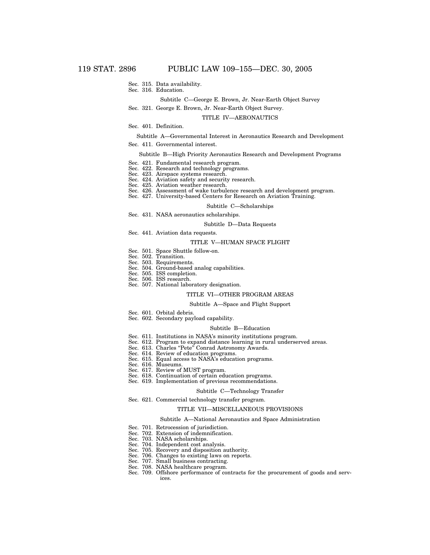- Sec. 315. Data availability.
- Sec. 316. Education.

### Subtitle C—George E. Brown, Jr. Near-Earth Object Survey

Sec. 321. George E. Brown, Jr. Near-Earth Object Survey.

#### TITLE IV—AERONAUTICS

### Sec. 401. Definition.

#### Subtitle A—Governmental Interest in Aeronautics Research and Development

Sec. 411. Governmental interest.

#### Subtitle B—High Priority Aeronautics Research and Development Programs

- Sec. 421. Fundamental research program.
- Sec. 422. Research and technology programs.
- Sec. 423. Airspace systems research.
- Sec. 424. Aviation safety and security research.
- Sec. 425. Aviation weather research.
- Sec. 426. Assessment of wake turbulence research and development program.
- Sec. 427. University-based Centers for Research on Aviation Training.

#### Subtitle C—Scholarships

Sec. 431. NASA aeronautics scholarships.

#### Subtitle D—Data Requests

Sec. 441. Aviation data requests.

#### TITLE V—HUMAN SPACE FLIGHT

- Sec. 501. Space Shuttle follow-on.
- Sec. 502. Transition.
- Sec. 503. Requirements.
- Sec. 504. Ground-based analog capabilities.
- Sec. 505. ISS completion.
- Sec. 506. ISS research.
- Sec. 507. National laboratory designation.

### TITLE VI—OTHER PROGRAM AREAS

#### Subtitle A—Space and Flight Support

- Sec. 601. Orbital debris.
- Sec. 602. Secondary payload capability.

#### Subtitle B—Education

- Sec. 611. Institutions in NASA's minority institutions program.
- Sec. 612. Program to expand distance learning in rural underserved areas.
- Sec. 613. Charles "Pete" Conrad Astronomy Awards.
- Sec. 614. Review of education programs.
- Sec. 615. Equal access to NASA's education programs.
- Sec. 616. Museums.
- Sec. 617. Review of MUST program.
- Sec. 618. Continuation of certain education programs.
- Sec. 619. Implementation of previous recommendations.

#### Subtitle C—Technology Transfer

Sec. 621. Commercial technology transfer program.

#### TITLE VII—MISCELLANEOUS PROVISIONS

#### Subtitle A—National Aeronautics and Space Administration

- Sec. 701. Retrocession of jurisdiction.
- Sec. 702. Extension of indemnification.
- Sec. 703. NASA scholarships.
- Sec. 704. Independent cost analysis.
- Sec. 705. Recovery and disposition authority.
- Sec. 706. Changes to existing laws on reports.
- Sec. 707. Small business contracting.
- Sec. 708. NASA healthcare program.
- Sec. 709. Offshore performance of contracts for the procurement of goods and services.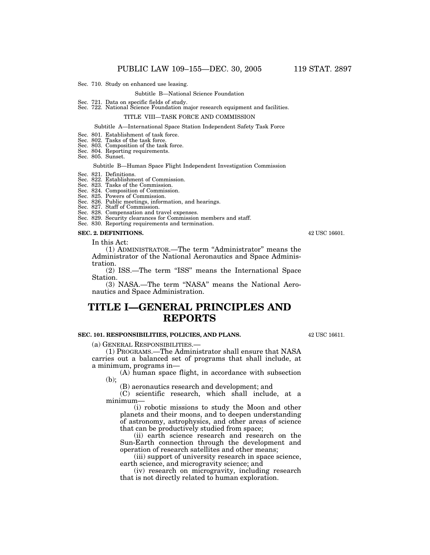Sec. 710. Study on enhanced use leasing.

#### Subtitle B—National Science Foundation

# Sec. 721. Data on specific fields of study. Sec. 722. National Science Foundation major research equipment and facilities.

#### TITLE VIII—TASK FORCE AND COMMISSION

#### Subtitle A—International Space Station Independent Safety Task Force

#### Sec. 801. Establishment of task force.

- 
- Sec. 802. Tasks of the task force. Sec. 803. Composition of the task force.
- Sec. 804. Reporting requirements.
- Sec. 805. Sunset.

#### Subtitle B—Human Space Flight Independent Investigation Commission

#### Sec. 821. Definitions.

# Sec. 822. Establishment of Commission. Sec. 823. Tasks of the Commission.

## Sec. 824. Composition of Commission.

- Sec. 825. Powers of Commission. Sec. 826. Public meetings, information, and hearings.
- Sec. 827. Staff of Commission.
- 
- Sec. 828. Compensation and travel expenses. Sec. 829. Security clearances for Commission members and staff.
- Sec. 830. Reporting requirements and termination.

#### **SEC. 2. DEFINITIONS.**

In this Act:

(1) ADMINISTRATOR.—The term ''Administrator'' means the Administrator of the National Aeronautics and Space Administration.

(2) ISS.—The term ''ISS'' means the International Space Station.

(3) NASA.—The term ''NASA'' means the National Aeronautics and Space Administration.

## **TITLE I—GENERAL PRINCIPLES AND REPORTS**

### **SEC. 101. RESPONSIBILITIES, POLICIES, AND PLANS.**

(a) GENERAL RESPONSIBILITIES.—

(1) PROGRAMS.—The Administrator shall ensure that NASA carries out a balanced set of programs that shall include, at a minimum, programs in—

(A) human space flight, in accordance with subsection (b);

(B) aeronautics research and development; and

(C) scientific research, which shall include, at a minimum—

(i) robotic missions to study the Moon and other planets and their moons, and to deepen understanding of astronomy, astrophysics, and other areas of science that can be productively studied from space;

(ii) earth science research and research on the Sun-Earth connection through the development and operation of research satellites and other means;

(iii) support of university research in space science, earth science, and microgravity science; and

(iv) research on microgravity, including research that is not directly related to human exploration.

42 USC 16611.

42 USC 16601.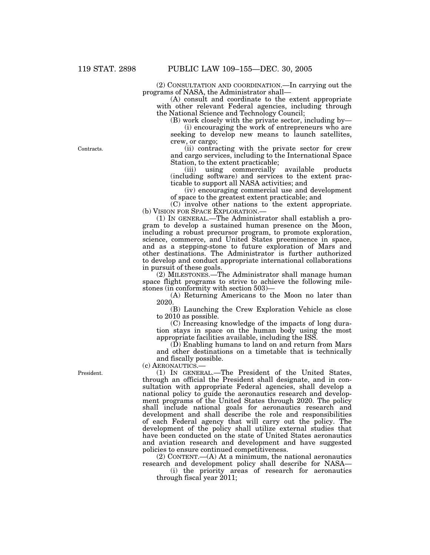(2) CONSULTATION AND COORDINATION.—In carrying out the programs of NASA, the Administrator shall—

(A) consult and coordinate to the extent appropriate with other relevant Federal agencies, including through the National Science and Technology Council;

(B) work closely with the private sector, including by—

(i) encouraging the work of entrepreneurs who are seeking to develop new means to launch satellites, crew, or cargo;

(ii) contracting with the private sector for crew and cargo services, including to the International Space Station, to the extent practicable;

(iii) using commercially available products (including software) and services to the extent practicable to support all NASA activities; and

(iv) encouraging commercial use and development of space to the greatest extent practicable; and

(C) involve other nations to the extent appropriate. (b) VISION FOR SPACE EXPLORATION.—

(1) IN GENERAL.—The Administrator shall establish a program to develop a sustained human presence on the Moon, including a robust precursor program, to promote exploration, science, commerce, and United States preeminence in space, and as a stepping-stone to future exploration of Mars and other destinations. The Administrator is further authorized to develop and conduct appropriate international collaborations in pursuit of these goals.

(2) MILESTONES.—The Administrator shall manage human space flight programs to strive to achieve the following milestones (in conformity with section 503)—

(A) Returning Americans to the Moon no later than 2020.

(B) Launching the Crew Exploration Vehicle as close to 2010 as possible.

(C) Increasing knowledge of the impacts of long duration stays in space on the human body using the most appropriate facilities available, including the ISS.

(D) Enabling humans to land on and return from Mars and other destinations on a timetable that is technically and fiscally possible.

(c) AERONAUTICS.—

(1) IN GENERAL.—The President of the United States, through an official the President shall designate, and in consultation with appropriate Federal agencies, shall develop a national policy to guide the aeronautics research and development programs of the United States through 2020. The policy shall include national goals for aeronautics research and development and shall describe the role and responsibilities of each Federal agency that will carry out the policy. The development of the policy shall utilize external studies that have been conducted on the state of United States aeronautics and aviation research and development and have suggested policies to ensure continued competitiveness.

 $(2)$  CONTENT.— $(A)$  At a minimum, the national aeronautics research and development policy shall describe for NASA—

(i) the priority areas of research for aeronautics through fiscal year 2011;

President.

Contracts.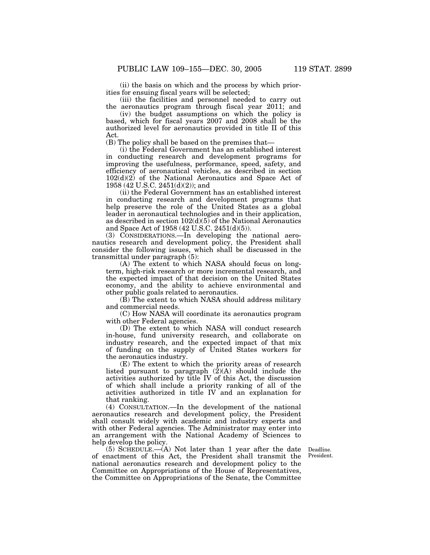(ii) the basis on which and the process by which priorities for ensuing fiscal years will be selected;

(iii) the facilities and personnel needed to carry out the aeronautics program through fiscal year 2011; and

(iv) the budget assumptions on which the policy is based, which for fiscal years 2007 and 2008 shall be the authorized level for aeronautics provided in title II of this Act.

(B) The policy shall be based on the premises that—

(i) the Federal Government has an established interest in conducting research and development programs for improving the usefulness, performance, speed, safety, and efficiency of aeronautical vehicles, as described in section  $102(d)(2)$  of the National Aeronautics and Space Act of 1958 (42 U.S.C. 2451(d)(2)); and

(ii) the Federal Government has an established interest in conducting research and development programs that help preserve the role of the United States as a global leader in aeronautical technologies and in their application, as described in section  $102(d)(5)$  of the National Aeronautics and Space Act of 1958 (42 U.S.C. 2451(d)(5)).

(3) CONSIDERATIONS.—In developing the national aeronautics research and development policy, the President shall consider the following issues, which shall be discussed in the transmittal under paragraph (5):

(A) The extent to which NASA should focus on longterm, high-risk research or more incremental research, and the expected impact of that decision on the United States economy, and the ability to achieve environmental and other public goals related to aeronautics.

(B) The extent to which NASA should address military and commercial needs.

(C) How NASA will coordinate its aeronautics program with other Federal agencies.

(D) The extent to which NASA will conduct research in-house, fund university research, and collaborate on industry research, and the expected impact of that mix of funding on the supply of United States workers for the aeronautics industry.

(E) The extent to which the priority areas of research listed pursuant to paragraph (2)(A) should include the activities authorized by title IV of this Act, the discussion of which shall include a priority ranking of all of the activities authorized in title IV and an explanation for that ranking.

(4) CONSULTATION.—In the development of the national aeronautics research and development policy, the President shall consult widely with academic and industry experts and with other Federal agencies. The Administrator may enter into an arrangement with the National Academy of Sciences to help develop the policy.

(5) SCHEDULE.—(A) Not later than 1 year after the date of enactment of this Act, the President shall transmit the national aeronautics research and development policy to the Committee on Appropriations of the House of Representatives, the Committee on Appropriations of the Senate, the Committee

Deadline. President.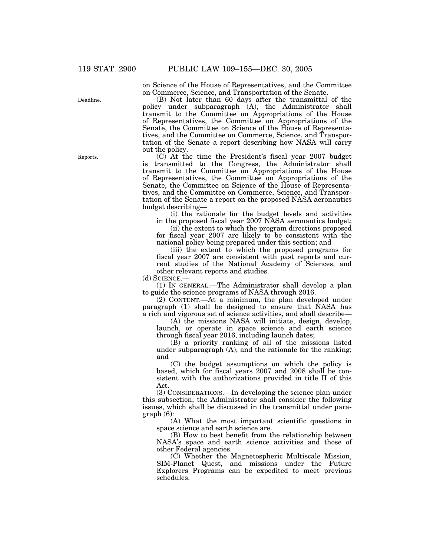on Science of the House of Representatives, and the Committee on Commerce, Science, and Transportation of the Senate.

(B) Not later than 60 days after the transmittal of the policy under subparagraph (A), the Administrator shall transmit to the Committee on Appropriations of the House of Representatives, the Committee on Appropriations of the Senate, the Committee on Science of the House of Representatives, and the Committee on Commerce, Science, and Transportation of the Senate a report describing how NASA will carry out the policy.

(C) At the time the President's fiscal year 2007 budget is transmitted to the Congress, the Administrator shall transmit to the Committee on Appropriations of the House of Representatives, the Committee on Appropriations of the Senate, the Committee on Science of the House of Representatives, and the Committee on Commerce, Science, and Transportation of the Senate a report on the proposed NASA aeronautics budget describing—

(i) the rationale for the budget levels and activities in the proposed fiscal year 2007 NASA aeronautics budget;

(ii) the extent to which the program directions proposed for fiscal year 2007 are likely to be consistent with the national policy being prepared under this section; and

(iii) the extent to which the proposed programs for fiscal year 2007 are consistent with past reports and current studies of the National Academy of Sciences, and other relevant reports and studies.

(d) SCIENCE.—

(1) IN GENERAL.—The Administrator shall develop a plan to guide the science programs of NASA through 2016.

(2) CONTENT.—At a minimum, the plan developed under paragraph (1) shall be designed to ensure that NASA has a rich and vigorous set of science activities, and shall describe—

(A) the missions NASA will initiate, design, develop, launch, or operate in space science and earth science through fiscal year 2016, including launch dates;

 $(\overrightarrow{B})$  a priority ranking of all of the missions listed under subparagraph (A), and the rationale for the ranking; and

(C) the budget assumptions on which the policy is based, which for fiscal years 2007 and 2008 shall be consistent with the authorizations provided in title II of this Act.

(3) CONSIDERATIONS.—In developing the science plan under this subsection, the Administrator shall consider the following issues, which shall be discussed in the transmittal under paragraph (6):

(A) What the most important scientific questions in space science and earth science are.

(B) How to best benefit from the relationship between NASA's space and earth science activities and those of other Federal agencies.

(C) Whether the Magnetospheric Multiscale Mission, SIM-Planet Quest, and missions under the Future Explorers Programs can be expedited to meet previous schedules.

Reports.

Deadline.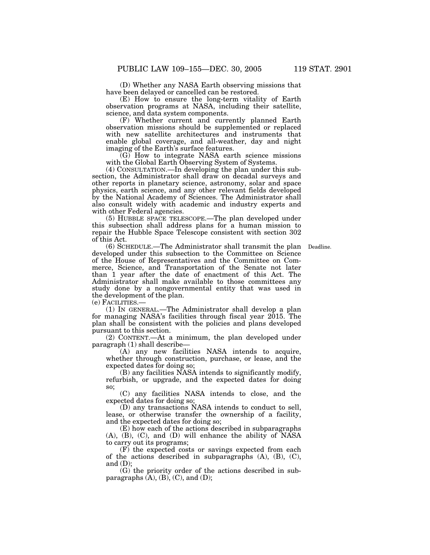(D) Whether any NASA Earth observing missions that have been delayed or cancelled can be restored.

(E) How to ensure the long-term vitality of Earth observation programs at NASA, including their satellite, science, and data system components.

(F) Whether current and currently planned Earth observation missions should be supplemented or replaced with new satellite architectures and instruments that enable global coverage, and all-weather, day and night imaging of the Earth's surface features.

(G) How to integrate NASA earth science missions with the Global Earth Observing System of Systems.

(4) CONSULTATION.—In developing the plan under this subsection, the Administrator shall draw on decadal surveys and other reports in planetary science, astronomy, solar and space physics, earth science, and any other relevant fields developed by the National Academy of Sciences. The Administrator shall also consult widely with academic and industry experts and with other Federal agencies.

(5) HUBBLE SPACE TELESCOPE.—The plan developed under this subsection shall address plans for a human mission to repair the Hubble Space Telescope consistent with section 302 of this Act.

(6) SCHEDULE.—The Administrator shall transmit the plan Deadline. developed under this subsection to the Committee on Science of the House of Representatives and the Committee on Commerce, Science, and Transportation of the Senate not later than 1 year after the date of enactment of this Act. The Administrator shall make available to those committees any study done by a nongovernmental entity that was used in the development of the plan.

(e) FACILITIES.—

(1) IN GENERAL.—The Administrator shall develop a plan for managing NASA's facilities through fiscal year 2015. The plan shall be consistent with the policies and plans developed pursuant to this section.

(2) CONTENT.—At a minimum, the plan developed under paragraph (1) shall describe—

(A) any new facilities NASA intends to acquire, whether through construction, purchase, or lease, and the expected dates for doing so;

(B) any facilities NASA intends to significantly modify, refurbish, or upgrade, and the expected dates for doing so;

(C) any facilities NASA intends to close, and the expected dates for doing so;

(D) any transactions NASA intends to conduct to sell, lease, or otherwise transfer the ownership of a facility, and the expected dates for doing so;

(E) how each of the actions described in subparagraphs (A), (B), (C), and (D) will enhance the ability of NASA to carry out its programs;

(F) the expected costs or savings expected from each of the actions described in subparagraphs  $(A)$ ,  $(B)$ ,  $(C)$ , and  $(D)$ ;

(G) the priority order of the actions described in subparagraphs  $(A)$ ,  $(B)$ ,  $(C)$ , and  $(D)$ ;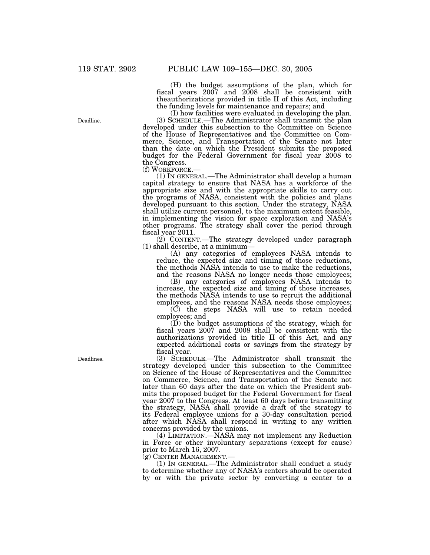(H) the budget assumptions of the plan, which for fiscal years 2007 and 2008 shall be consistent with theauthorizations provided in title II of this Act, including the funding levels for maintenance and repairs; and

(I) how facilities were evaluated in developing the plan. (3) SCHEDULE.—The Administrator shall transmit the plan developed under this subsection to the Committee on Science of the House of Representatives and the Committee on Commerce, Science, and Transportation of the Senate not later than the date on which the President submits the proposed budget for the Federal Government for fiscal year 2008 to the Congress.<br>(f) WORKFORCE.-

(1) IN GENERAL.—The Administrator shall develop a human capital strategy to ensure that NASA has a workforce of the appropriate size and with the appropriate skills to carry out the programs of NASA, consistent with the policies and plans developed pursuant to this section. Under the strategy, NASA shall utilize current personnel, to the maximum extent feasible, in implementing the vision for space exploration and NASA's other programs. The strategy shall cover the period through fiscal year 2011.

(2) CONTENT.—The strategy developed under paragraph (1) shall describe, at a minimum—

(A) any categories of employees NASA intends to reduce, the expected size and timing of those reductions, the methods NASA intends to use to make the reductions, and the reasons NASA no longer needs those employees;

(B) any categories of employees NASA intends to increase, the expected size and timing of those increases, the methods NASA intends to use to recruit the additional employees, and the reasons NASA needs those employees;

(C) the steps NASA will use to retain needed employees; and

(D) the budget assumptions of the strategy, which for fiscal years 2007 and 2008 shall be consistent with the authorizations provided in title II of this Act, and any expected additional costs or savings from the strategy by fiscal year.

(3) SCHEDULE.—The Administrator shall transmit the strategy developed under this subsection to the Committee on Science of the House of Representatives and the Committee on Commerce, Science, and Transportation of the Senate not later than 60 days after the date on which the President submits the proposed budget for the Federal Government for fiscal year 2007 to the Congress. At least 60 days before transmitting the strategy, NASA shall provide a draft of the strategy to its Federal employee unions for a 30-day consultation period after which NASA shall respond in writing to any written concerns provided by the unions.

(4) LIMITATION.—NASA may not implement any Reduction in Force or other involuntary separations (except for cause) prior to March 16, 2007.

(g) CENTER MANAGEMENT.—

(1) IN GENERAL.—The Administrator shall conduct a study to determine whether any of NASA's centers should be operated by or with the private sector by converting a center to a

Deadlines.

Deadline.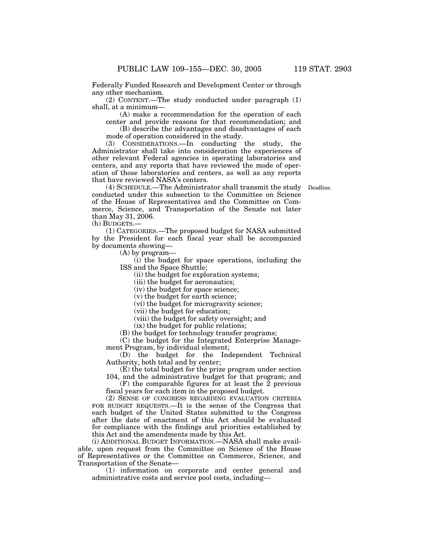Federally Funded Research and Development Center or through any other mechanism.

(2) CONTENT.—The study conducted under paragraph (1) shall, at a minimum—

(A) make a recommendation for the operation of each center and provide reasons for that recommendation; and

(B) describe the advantages and disadvantages of each mode of operation considered in the study.

(3) CONSIDERATIONS.—In conducting the study, the Administrator shall take into consideration the experiences of other relevant Federal agencies in operating laboratories and centers, and any reports that have reviewed the mode of operation of those laboratories and centers, as well as any reports that have reviewed NASA's centers.

(4) SCHEDULE.—The Administrator shall transmit the study Deadline. conducted under this subsection to the Committee on Science of the House of Representatives and the Committee on Commerce, Science, and Transportation of the Senate not later than May 31, 2006.

(h) BUDGETS.—

(1) CATEGORIES.—The proposed budget for NASA submitted by the President for each fiscal year shall be accompanied by documents showing—

(A) by program—

(i) the budget for space operations, including the ISS and the Space Shuttle;

(ii) the budget for exploration systems;

(iii) the budget for aeronautics;

(iv) the budget for space science;

(v) the budget for earth science;

(vi) the budget for microgravity science;

(vii) the budget for education;

(viii) the budget for safety oversight; and

(ix) the budget for public relations;

(B) the budget for technology transfer programs;

(C) the budget for the Integrated Enterprise Management Program, by individual element;

(D) the budget for the Independent Technical Authority, both total and by center;

(E) the total budget for the prize program under section 104, and the administrative budget for that program; and

 $(F)$  the comparable figures for at least the  $2$  previous fiscal years for each item in the proposed budget.

(2) SENSE OF CONGRESS REGARDING EVALUATION CRITERIA FOR BUDGET REQUESTS.—It is the sense of the Congress that each budget of the United States submitted to the Congress after the date of enactment of this Act should be evaluated for compliance with the findings and priorities established by this Act and the amendments made by this Act.

(i) ADDITIONAL BUDGET INFORMATION.—NASA shall make available, upon request from the Committee on Science of the House of Representatives or the Committee on Commerce, Science, and Transportation of the Senate—

(1) information on corporate and center general and administrative costs and service pool costs, including—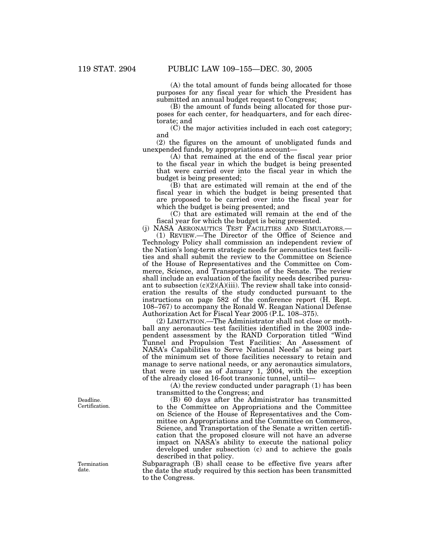(A) the total amount of funds being allocated for those purposes for any fiscal year for which the President has submitted an annual budget request to Congress;

(B) the amount of funds being allocated for those purposes for each center, for headquarters, and for each directorate; and

(C) the major activities included in each cost category; and

(2) the figures on the amount of unobligated funds and unexpended funds, by appropriations account—

(A) that remained at the end of the fiscal year prior to the fiscal year in which the budget is being presented that were carried over into the fiscal year in which the budget is being presented;

(B) that are estimated will remain at the end of the fiscal year in which the budget is being presented that are proposed to be carried over into the fiscal year for which the budget is being presented; and

(C) that are estimated will remain at the end of the fiscal year for which the budget is being presented.

(j) NASA AERONAUTICS TEST FACILITIES AND SIMULATORS.—

(1) REVIEW.—The Director of the Office of Science and Technology Policy shall commission an independent review of the Nation's long-term strategic needs for aeronautics test facilities and shall submit the review to the Committee on Science of the House of Representatives and the Committee on Commerce, Science, and Transportation of the Senate. The review shall include an evaluation of the facility needs described pursuant to subsection (c)(2)(A)(iii). The review shall take into consideration the results of the study conducted pursuant to the instructions on page 582 of the conference report (H. Rept. 108–767) to accompany the Ronald W. Reagan National Defense Authorization Act for Fiscal Year 2005 (P.L. 108–375).

(2) LIMITATION.—The Administrator shall not close or mothball any aeronautics test facilities identified in the 2003 independent assessment by the RAND Corporation titled ''Wind Tunnel and Propulsion Test Facilities: An Assessment of NASA's Capabilities to Serve National Needs'' as being part of the minimum set of those facilities necessary to retain and manage to serve national needs, or any aeronautics simulators, that were in use as of January 1, 2004, with the exception of the already closed 16-foot transonic tunnel, until—

(A) the review conducted under paragraph (1) has been transmitted to the Congress; and

(B) 60 days after the Administrator has transmitted to the Committee on Appropriations and the Committee on Science of the House of Representatives and the Committee on Appropriations and the Committee on Commerce, Science, and Transportation of the Senate a written certification that the proposed closure will not have an adverse impact on NASA's ability to execute the national policy developed under subsection (c) and to achieve the goals described in that policy.

Subparagraph (B) shall cease to be effective five years after the date the study required by this section has been transmitted to the Congress.

Deadline. Certification.

Termination date.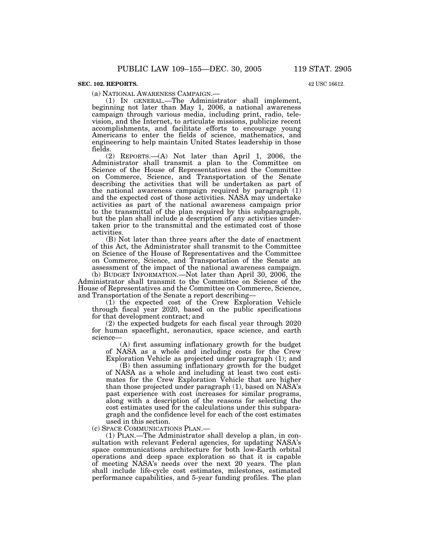### **SEC. 102. REPORTS.**

42 USC 16612.

(a) NATIONAL AWARENESS CAMPAIGN.— (1) IN GENERAL.—The Administrator shall implement, beginning not later than May 1, 2006, a national awareness campaign through various media, including print, radio, television, and the Internet, to articulate missions, publicize recent accomplishments, and facilitate efforts to encourage young Americans to enter the fields of science, mathematics, and engineering to help maintain United States leadership in those fields.

(2) REPORTS.—(A) Not later than April 1, 2006, the Administrator shall transmit a plan to the Committee on Science of the House of Representatives and the Committee on Commerce, Science, and Transportation of the Senate describing the activities that will be undertaken as part of the national awareness campaign required by paragraph (1) and the expected cost of those activities. NASA may undertake activities as part of the national awareness campaign prior to the transmittal of the plan required by this subparagraph, but the plan shall include a description of any activities undertaken prior to the transmittal and the estimated cost of those activities.

(B) Not later than three years after the date of enactment of this Act, the Administrator shall transmit to the Committee on Science of the House of Representatives and the Committee on Commerce, Science, and Transportation of the Senate an assessment of the impact of the national awareness campaign.

(b) BUDGET INFORMATION.—Not later than April 30, 2006, the Administrator shall transmit to the Committee on Science of the House of Representatives and the Committee on Commerce, Science, and Transportation of the Senate a report describing—

(1) the expected cost of the Crew Exploration Vehicle through fiscal year 2020, based on the public specifications for that development contract; and

(2) the expected budgets for each fiscal year through 2020 for human spaceflight, aeronautics, space science, and earth science—

(A) first assuming inflationary growth for the budget of NASA as a whole and including costs for the Crew Exploration Vehicle as projected under paragraph (1); and

(B) then assuming inflationary growth for the budget of NASA as a whole and including at least two cost estimates for the Crew Exploration Vehicle that are higher than those projected under paragraph (1), based on NASA's past experience with cost increases for similar programs, along with a description of the reasons for selecting the cost estimates used for the calculations under this subparagraph and the confidence level for each of the cost estimates used in this section.

(c) SPACE COMMUNICATIONS PLAN.—

(1) PLAN.—The Administrator shall develop a plan, in consultation with relevant Federal agencies, for updating NASA's space communications architecture for both low-Earth orbital operations and deep space exploration so that it is capable of meeting NASA's needs over the next 20 years. The plan shall include life-cycle cost estimates, milestones, estimated performance capabilities, and 5-year funding profiles. The plan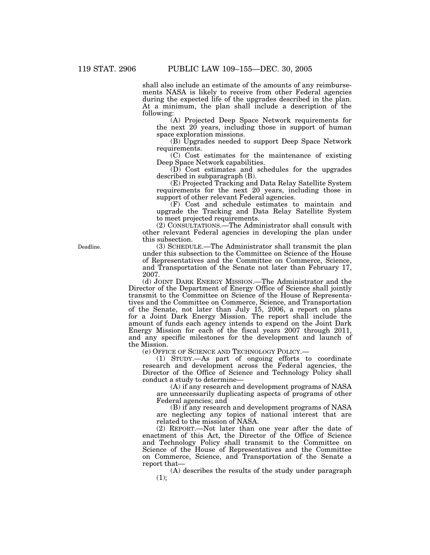shall also include an estimate of the amounts of any reimbursements NASA is likely to receive from other Federal agencies during the expected life of the upgrades described in the plan. At a minimum, the plan shall include a description of the following:

(A) Projected Deep Space Network requirements for the next 20 years, including those in support of human space exploration missions.

(B) Upgrades needed to support Deep Space Network requirements.

(C) Cost estimates for the maintenance of existing Deep Space Network capabilities.

(D) Cost estimates and schedules for the upgrades described in subparagraph (B).

(E) Projected Tracking and Data Relay Satellite System requirements for the next 20 years, including those in support of other relevant Federal agencies.

(F) Cost and schedule estimates to maintain and upgrade the Tracking and Data Relay Satellite System to meet projected requirements.

(2) CONSULTATIONS.—The Administrator shall consult with other relevant Federal agencies in developing the plan under this subsection.

(3) SCHEDULE.—The Administrator shall transmit the plan under this subsection to the Committee on Science of the House of Representatives and the Committee on Commerce, Science, and Transportation of the Senate not later than February 17, 2007.

(d) JOINT DARK ENERGY MISSION.—The Administrator and the Director of the Department of Energy Office of Science shall jointly transmit to the Committee on Science of the House of Representatives and the Committee on Commerce, Science, and Transportation of the Senate, not later than July 15, 2006, a report on plans for a Joint Dark Energy Mission. The report shall include the amount of funds each agency intends to expend on the Joint Dark Energy Mission for each of the fiscal years 2007 through 2011, and any specific milestones for the development and launch of the Mission.

(e) OFFICE OF SCIENCE AND TECHNOLOGY POLICY.—

(1) STUDY.—As part of ongoing efforts to coordinate research and development across the Federal agencies, the Director of the Office of Science and Technology Policy shall conduct a study to determine—

(A) if any research and development programs of NASA are unnecessarily duplicating aspects of programs of other Federal agencies; and

(B) if any research and development programs of NASA are neglecting any topics of national interest that are related to the mission of NASA.

(2) REPORT.—Not later than one year after the date of enactment of this Act, the Director of the Office of Science and Technology Policy shall transmit to the Committee on Science of the House of Representatives and the Committee on Commerce, Science, and Transportation of the Senate a report that—

(A) describes the results of the study under paragraph  $(1):$ 

Deadline.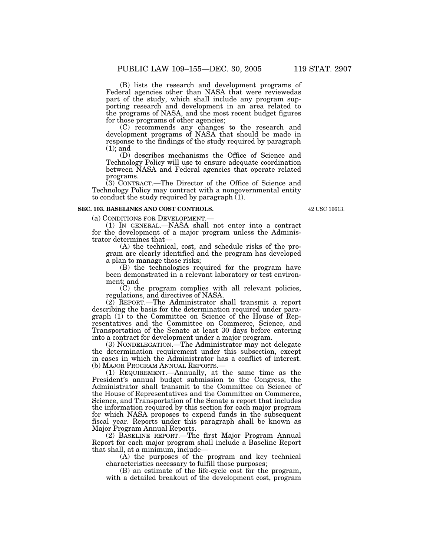(B) lists the research and development programs of Federal agencies other than NASA that were reviewedas part of the study, which shall include any program supporting research and development in an area related to the programs of NASA, and the most recent budget figures for those programs of other agencies;

(C) recommends any changes to the research and development programs of NASA that should be made in response to the findings of the study required by paragraph (1); and

(D) describes mechanisms the Office of Science and Technology Policy will use to ensure adequate coordination between NASA and Federal agencies that operate related programs.

(3) CONTRACT.—The Director of the Office of Science and Technology Policy may contract with a nongovernmental entity to conduct the study required by paragraph  $(1)$ .

### **SEC. 103. BASELINES AND COST CONTROLS.**

42 USC 16613.

(a) CONDITIONS FOR DEVELOPMENT.—

(1) IN GENERAL.—NASA shall not enter into a contract for the development of a major program unless the Administrator determines that—

(A) the technical, cost, and schedule risks of the program are clearly identified and the program has developed a plan to manage those risks;

(B) the technologies required for the program have been demonstrated in a relevant laboratory or test environment; and

(C) the program complies with all relevant policies, regulations, and directives of NASA.

(2) REPORT.—The Administrator shall transmit a report describing the basis for the determination required under paragraph (1) to the Committee on Science of the House of Representatives and the Committee on Commerce, Science, and Transportation of the Senate at least 30 days before entering into a contract for development under a major program.

(3) NONDELEGATION.—The Administrator may not delegate the determination requirement under this subsection, except in cases in which the Administrator has a conflict of interest. (b) MAJOR PROGRAM ANNUAL REPORTS.—

(1) REQUIREMENT.—Annually, at the same time as the President's annual budget submission to the Congress, the Administrator shall transmit to the Committee on Science of the House of Representatives and the Committee on Commerce, Science, and Transportation of the Senate a report that includes the information required by this section for each major program for which NASA proposes to expend funds in the subsequent fiscal year. Reports under this paragraph shall be known as Major Program Annual Reports.

(2) BASELINE REPORT.—The first Major Program Annual Report for each major program shall include a Baseline Report that shall, at a minimum, include—

(A) the purposes of the program and key technical characteristics necessary to fulfill those purposes;

(B) an estimate of the life-cycle cost for the program, with a detailed breakout of the development cost, program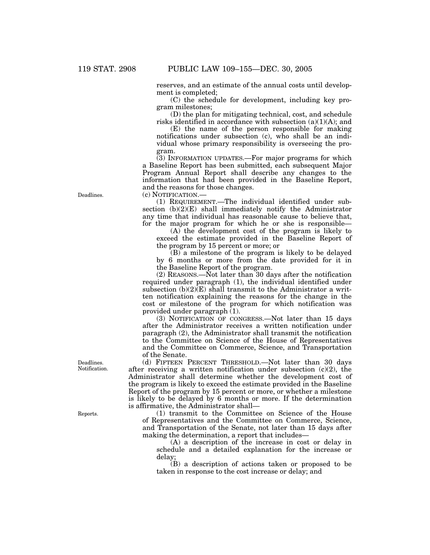reserves, and an estimate of the annual costs until development is completed;

(C) the schedule for development, including key program milestones;

(D) the plan for mitigating technical, cost, and schedule risks identified in accordance with subsection  $(a)(1)(A)$ ; and

(E) the name of the person responsible for making notifications under subsection (c), who shall be an individual whose primary responsibility is overseeing the program.

(3) INFORMATION UPDATES.—For major programs for which a Baseline Report has been submitted, each subsequent Major Program Annual Report shall describe any changes to the information that had been provided in the Baseline Report, and the reasons for those changes.

(c) NOTIFICATION.—

(1) REQUIREMENT.—The individual identified under subsection  $(b)(2)(E)$  shall immediately notify the Administrator any time that individual has reasonable cause to believe that, for the major program for which he or she is responsible—

(A) the development cost of the program is likely to exceed the estimate provided in the Baseline Report of the program by 15 percent or more; or

(B) a milestone of the program is likely to be delayed by 6 months or more from the date provided for it in the Baseline Report of the program.

(2) REASONS.—Not later than 30 days after the notification required under paragraph (1), the individual identified under subsection  $(b)(2)(E)$  shall transmit to the Administrator a written notification explaining the reasons for the change in the cost or milestone of the program for which notification was provided under paragraph (1).

(3) NOTIFICATION OF CONGRESS.—Not later than 15 days after the Administrator receives a written notification under paragraph (2), the Administrator shall transmit the notification to the Committee on Science of the House of Representatives and the Committee on Commerce, Science, and Transportation of the Senate.

(d) FIFTEEN PERCENT THRESHOLD.—Not later than 30 days after receiving a written notification under subsection  $(c)(2)$ , the Administrator shall determine whether the development cost of the program is likely to exceed the estimate provided in the Baseline Report of the program by 15 percent or more, or whether a milestone is likely to be delayed by 6 months or more. If the determination is affirmative, the Administrator shall—

(1) transmit to the Committee on Science of the House of Representatives and the Committee on Commerce, Science, and Transportation of the Senate, not later than 15 days after making the determination, a report that includes—

(A) a description of the increase in cost or delay in schedule and a detailed explanation for the increase or delay;

(B) a description of actions taken or proposed to be taken in response to the cost increase or delay; and

Deadlines.

Deadlines. Notification.

Reports.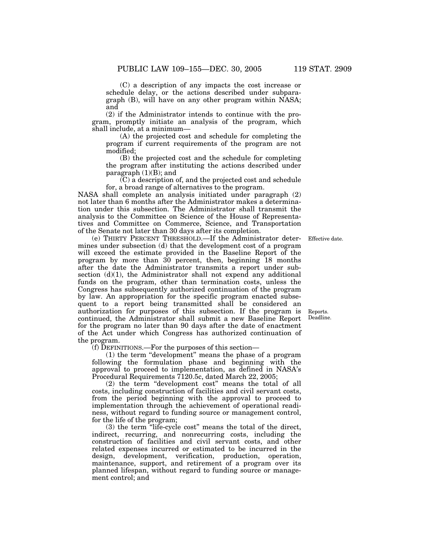(C) a description of any impacts the cost increase or schedule delay, or the actions described under subparagraph (B), will have on any other program within NASA; and

(2) if the Administrator intends to continue with the program, promptly initiate an analysis of the program, which shall include, at a minimum—

(A) the projected cost and schedule for completing the program if current requirements of the program are not modified;

(B) the projected cost and the schedule for completing the program after instituting the actions described under paragraph  $(1)(B)$ ; and

(C) a description of, and the projected cost and schedule for, a broad range of alternatives to the program.

NASA shall complete an analysis initiated under paragraph (2) not later than 6 months after the Administrator makes a determination under this subsection. The Administrator shall transmit the analysis to the Committee on Science of the House of Representatives and Committee on Commerce, Science, and Transportation of the Senate not later than 30 days after its completion.

(e) THIRTY PERCENT THRESHOLD.—If the Administrator determines under subsection (d) that the development cost of a program will exceed the estimate provided in the Baseline Report of the program by more than  $30$  percent, then, beginning 18 months after the date the Administrator transmits a report under subsection  $(d)(1)$ , the Administrator shall not expend any additional funds on the program, other than termination costs, unless the Congress has subsequently authorized continuation of the program by law. An appropriation for the specific program enacted subsequent to a report being transmitted shall be considered an authorization for purposes of this subsection. If the program is continued, the Administrator shall submit a new Baseline Report for the program no later than 90 days after the date of enactment of the Act under which Congress has authorized continuation of the program.

(f) DEFINITIONS.—For the purposes of this section—

(1) the term "development" means the phase of a program following the formulation phase and beginning with the approval to proceed to implementation, as defined in NASA's Procedural Requirements 7120.5c, dated March 22, 2005;

(2) the term ''development cost'' means the total of all costs, including construction of facilities and civil servant costs, from the period beginning with the approval to proceed to implementation through the achievement of operational readiness, without regard to funding source or management control, for the life of the program;

(3) the term ''life-cycle cost'' means the total of the direct, indirect, recurring, and nonrecurring costs, including the construction of facilities and civil servant costs, and other related expenses incurred or estimated to be incurred in the design, development, verification, production, operation, maintenance, support, and retirement of a program over its planned lifespan, without regard to funding source or management control; and

Effective date.

Reports. Deadline.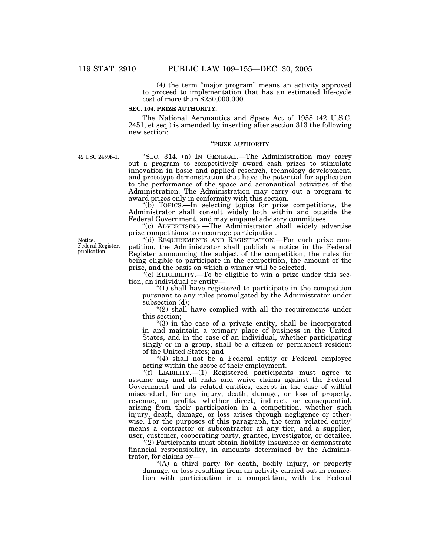(4) the term ''major program'' means an activity approved to proceed to implementation that has an estimated life-cycle cost of more than \$250,000,000.

#### **SEC. 104. PRIZE AUTHORITY.**

The National Aeronautics and Space Act of 1958 (42 U.S.C. 2451, et seq.) is amended by inserting after section 313 the following new section:

### ''PRIZE AUTHORITY

42 USC 2459f–1.

''SEC. 314. (a) IN GENERAL.—The Administration may carry out a program to competitively award cash prizes to stimulate innovation in basic and applied research, technology development, and prototype demonstration that have the potential for application to the performance of the space and aeronautical activities of the Administration. The Administration may carry out a program to award prizes only in conformity with this section.

''(b) TOPICS.—In selecting topics for prize competitions, the Administrator shall consult widely both within and outside the Federal Government, and may empanel advisory committees.

''(c) ADVERTISING.—The Administrator shall widely advertise prize competitions to encourage participation.

''(d) REQUIREMENTS AND REGISTRATION.—For each prize competition, the Administrator shall publish a notice in the Federal Register announcing the subject of the competition, the rules for being eligible to participate in the competition, the amount of the prize, and the basis on which a winner will be selected.

''(e) ELIGIBILITY.—To be eligible to win a prize under this section, an individual or entity—

 $''(1)$  shall have registered to participate in the competition pursuant to any rules promulgated by the Administrator under subsection (d);

''(2) shall have complied with all the requirements under this section;

 $(3)$  in the case of a private entity, shall be incorporated in and maintain a primary place of business in the United States, and in the case of an individual, whether participating singly or in a group, shall be a citizen or permanent resident of the United States; and

"(4) shall not be a Federal entity or Federal employee acting within the scope of their employment.

"(f) LIABILITY.—(1) Registered participants must agree to assume any and all risks and waive claims against the Federal Government and its related entities, except in the case of willful misconduct, for any injury, death, damage, or loss of property, revenue, or profits, whether direct, indirect, or consequential, arising from their participation in a competition, whether such injury, death, damage, or loss arises through negligence or otherwise. For the purposes of this paragraph, the term 'related entity' means a contractor or subcontractor at any tier, and a supplier, user, customer, cooperating party, grantee, investigator, or detailee.

''(2) Participants must obtain liability insurance or demonstrate financial responsibility, in amounts determined by the Administrator, for claims by—

''(A) a third party for death, bodily injury, or property damage, or loss resulting from an activity carried out in connection with participation in a competition, with the Federal

Notice. Federal Register, publication.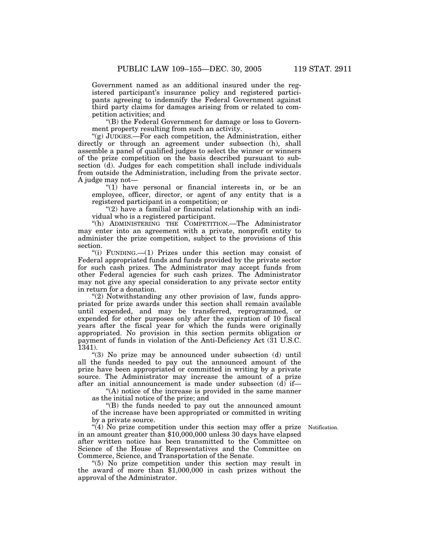Government named as an additional insured under the registered participant's insurance policy and registered participants agreeing to indemnify the Federal Government against third party claims for damages arising from or related to competition activities; and

''(B) the Federal Government for damage or loss to Government property resulting from such an activity.

''(g) JUDGES.—For each competition, the Administration, either directly or through an agreement under subsection (h), shall assemble a panel of qualified judges to select the winner or winners of the prize competition on the basis described pursuant to subsection (d). Judges for each competition shall include individuals from outside the Administration, including from the private sector. A judge may not—

"(1) have personal or financial interests in, or be an employee, officer, director, or agent of any entity that is a registered participant in a competition; or

 $(2)$  have a familial or financial relationship with an individual who is a registered participant.

"(h) ADMINISTERING THE COMPETITION.—The Administrator may enter into an agreement with a private, nonprofit entity to administer the prize competition, subject to the provisions of this section.

"(i) FUNDING.—(1) Prizes under this section may consist of Federal appropriated funds and funds provided by the private sector for such cash prizes. The Administrator may accept funds from other Federal agencies for such cash prizes. The Administrator may not give any special consideration to any private sector entity in return for a donation.

"(2) Notwithstanding any other provision of law, funds appropriated for prize awards under this section shall remain available until expended, and may be transferred, reprogrammed, or expended for other purposes only after the expiration of 10 fiscal years after the fiscal year for which the funds were originally appropriated. No provision in this section permits obligation or payment of funds in violation of the Anti-Deficiency Act (31 U.S.C. 1341).

''(3) No prize may be announced under subsection (d) until all the funds needed to pay out the announced amount of the prize have been appropriated or committed in writing by a private source. The Administrator may increase the amount of a prize after an initial announcement is made under subsection (d) if—

''(A) notice of the increase is provided in the same manner as the initial notice of the prize; and

''(B) the funds needed to pay out the announced amount of the increase have been appropriated or committed in writing by a private source.

Notification.

 $\mathcal{A}(4)$  No prize competition under this section may offer a prize in an amount greater than \$10,000,000 unless 30 days have elapsed after written notice has been transmitted to the Committee on Science of the House of Representatives and the Committee on Commerce, Science, and Transportation of the Senate.

''(5) No prize competition under this section may result in the award of more than \$1,000,000 in cash prizes without the approval of the Administrator.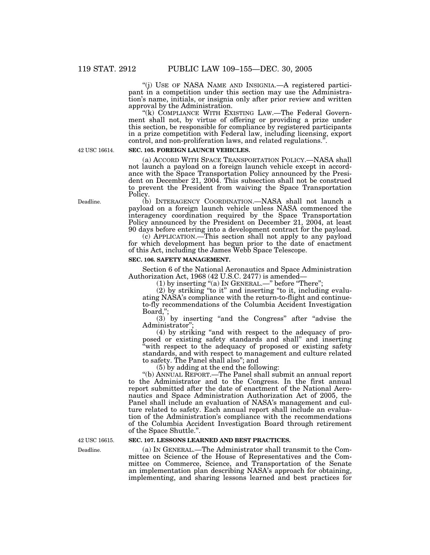''(j) USE OF NASA NAME AND INSIGNIA.—A registered participant in a competition under this section may use the Administration's name, initials, or insignia only after prior review and written approval by the Administration.

"(k) COMPLIANCE WITH EXISTING LAW.—The Federal Government shall not, by virtue of offering or providing a prize under this section, be responsible for compliance by registered participants in a prize competition with Federal law, including licensing, export control, and non-proliferation laws, and related regulations.''.

42 USC 16614.

### **SEC. 105. FOREIGN LAUNCH VEHICLES.**

(a) ACCORD WITH SPACE TRANSPORTATION POLICY.—NASA shall not launch a payload on a foreign launch vehicle except in accordance with the Space Transportation Policy announced by the President on December 21, 2004. This subsection shall not be construed to prevent the President from waiving the Space Transportation Policy.

(b) INTERAGENCY COORDINATION.—NASA shall not launch a payload on a foreign launch vehicle unless NASA commenced the interagency coordination required by the Space Transportation Policy announced by the President on December 21, 2004, at least 90 days before entering into a development contract for the payload.

(c) APPLICATION.—This section shall not apply to any payload for which development has begun prior to the date of enactment of this Act, including the James Webb Space Telescope.

### **SEC. 106. SAFETY MANAGEMENT.**

Section 6 of the National Aeronautics and Space Administration Authorization Act, 1968 (42 U.S.C. 2477) is amended—

(1) by inserting "(a) In GENERAL.—" before "There";

 $(2)$  by striking "to it" and inserting "to it, including evaluating NASA's compliance with the return-to-flight and continueto-fly recommendations of the Columbia Accident Investigation Board,'';

(3) by inserting ''and the Congress'' after ''advise the Administrator'';

(4) by striking ''and with respect to the adequacy of proposed or existing safety standards and shall'' and inserting "with respect to the adequacy of proposed or existing safety standards, and with respect to management and culture related to safety. The Panel shall also''; and

(5) by adding at the end the following:

''(b) ANNUAL REPORT.—The Panel shall submit an annual report to the Administrator and to the Congress. In the first annual report submitted after the date of enactment of the National Aeronautics and Space Administration Authorization Act of 2005, the Panel shall include an evaluation of NASA's management and culture related to safety. Each annual report shall include an evaluation of the Administration's compliance with the recommendations of the Columbia Accident Investigation Board through retirement of the Space Shuttle.''.

### **SEC. 107. LESSONS LEARNED AND BEST PRACTICES.**

(a) IN GENERAL.—The Administrator shall transmit to the Committee on Science of the House of Representatives and the Committee on Commerce, Science, and Transportation of the Senate an implementation plan describing NASA's approach for obtaining, implementing, and sharing lessons learned and best practices for

42 USC 16615.

Deadline.

Deadline.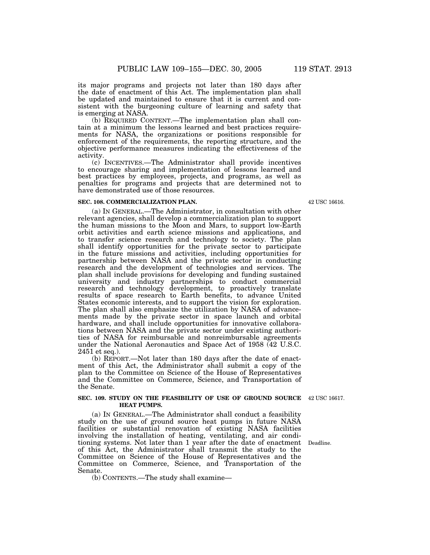its major programs and projects not later than 180 days after the date of enactment of this Act. The implementation plan shall be updated and maintained to ensure that it is current and consistent with the burgeoning culture of learning and safety that is emerging at NASA.

(b) REQUIRED CONTENT.—The implementation plan shall contain at a minimum the lessons learned and best practices requirements for NASA, the organizations or positions responsible for enforcement of the requirements, the reporting structure, and the objective performance measures indicating the effectiveness of the activity.

(c) INCENTIVES.—The Administrator shall provide incentives to encourage sharing and implementation of lessons learned and best practices by employees, projects, and programs, as well as penalties for programs and projects that are determined not to have demonstrated use of those resources.

#### **SEC. 108. COMMERCIALIZATION PLAN.**

(a) IN GENERAL.—The Administrator, in consultation with other relevant agencies, shall develop a commercialization plan to support the human missions to the Moon and Mars, to support low-Earth orbit activities and earth science missions and applications, and to transfer science research and technology to society. The plan shall identify opportunities for the private sector to participate in the future missions and activities, including opportunities for partnership between NASA and the private sector in conducting research and the development of technologies and services. The plan shall include provisions for developing and funding sustained university and industry partnerships to conduct commercial research and technology development, to proactively translate results of space research to Earth benefits, to advance United States economic interests, and to support the vision for exploration. The plan shall also emphasize the utilization by NASA of advancements made by the private sector in space launch and orbital hardware, and shall include opportunities for innovative collaborations between NASA and the private sector under existing authorities of NASA for reimbursable and nonreimbursable agreements under the National Aeronautics and Space Act of 1958 (42 U.S.C. 2451 et seq.).

(b) REPORT.—Not later than 180 days after the date of enactment of this Act, the Administrator shall submit a copy of the plan to the Committee on Science of the House of Representatives and the Committee on Commerce, Science, and Transportation of the Senate.

#### **SEC. 109. STUDY ON THE FEASIBILITY OF USE OF GROUND SOURCE** 42 USC 16617. **HEAT PUMPS.**

(a) IN GENERAL.—The Administrator shall conduct a feasibility study on the use of ground source heat pumps in future NASA facilities or substantial renovation of existing NASA facilities involving the installation of heating, ventilating, and air conditioning systems. Not later than 1 year after the date of enactment Deadline. of this Act, the Administrator shall transmit the study to the Committee on Science of the House of Representatives and the Committee on Commerce, Science, and Transportation of the Senate.

(b) CONTENTS.—The study shall examine—

42 USC 16616.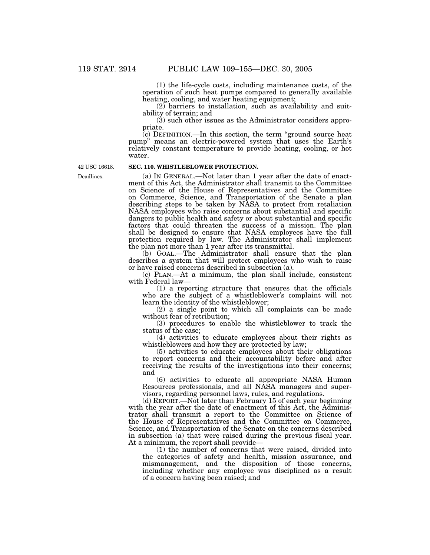(1) the life-cycle costs, including maintenance costs, of the operation of such heat pumps compared to generally available heating, cooling, and water heating equipment;

(2) barriers to installation, such as availability and suitability of terrain; and

(3) such other issues as the Administrator considers appropriate.

 $\lambda$  (c) DEFINITION.—In this section, the term "ground source heat pump'' means an electric-powered system that uses the Earth's relatively constant temperature to provide heating, cooling, or hot water.

42 USC 16618.

Deadlines.

### **SEC. 110. WHISTLEBLOWER PROTECTION.**

(a) IN GENERAL.—Not later than 1 year after the date of enactment of this Act, the Administrator shall transmit to the Committee on Science of the House of Representatives and the Committee on Commerce, Science, and Transportation of the Senate a plan describing steps to be taken by NASA to protect from retaliation NASA employees who raise concerns about substantial and specific dangers to public health and safety or about substantial and specific factors that could threaten the success of a mission. The plan shall be designed to ensure that NASA employees have the full protection required by law. The Administrator shall implement the plan not more than 1 year after its transmittal.

(b) GOAL.—The Administrator shall ensure that the plan describes a system that will protect employees who wish to raise or have raised concerns described in subsection (a).

(c) PLAN.—At a minimum, the plan shall include, consistent with Federal law—

(1) a reporting structure that ensures that the officials who are the subject of a whistleblower's complaint will not learn the identity of the whistleblower;

(2) a single point to which all complaints can be made without fear of retribution;

(3) procedures to enable the whistleblower to track the status of the case;

(4) activities to educate employees about their rights as whistleblowers and how they are protected by law;

(5) activities to educate employees about their obligations to report concerns and their accountability before and after receiving the results of the investigations into their concerns; and

(6) activities to educate all appropriate NASA Human Resources professionals, and all NASA managers and supervisors, regarding personnel laws, rules, and regulations.

(d) REPORT.—Not later than February 15 of each year beginning with the year after the date of enactment of this Act, the Administrator shall transmit a report to the Committee on Science of the House of Representatives and the Committee on Commerce, Science, and Transportation of the Senate on the concerns described in subsection (a) that were raised during the previous fiscal year. At a minimum, the report shall provide—

(1) the number of concerns that were raised, divided into the categories of safety and health, mission assurance, and mismanagement, and the disposition of those concerns, including whether any employee was disciplined as a result of a concern having been raised; and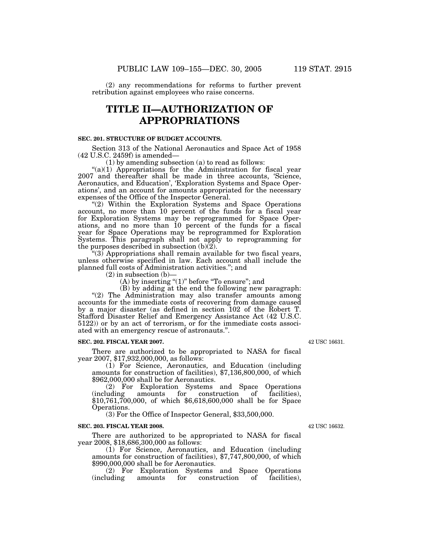(2) any recommendations for reforms to further prevent retribution against employees who raise concerns.

## **TITLE II—AUTHORIZATION OF APPROPRIATIONS**

### **SEC. 201. STRUCTURE OF BUDGET ACCOUNTS.**

Section 313 of the National Aeronautics and Space Act of 1958 (42 U.S.C. 2459f) is amended—

(1) by amending subsection (a) to read as follows:

" $(a)(1)$  Appropriations for the Administration for fiscal year 2007 and thereafter shall be made in three accounts, 'Science, Aeronautics, and Education', 'Exploration Systems and Space Operations', and an account for amounts appropriated for the necessary expenses of the Office of the Inspector General.

"(2) Within the Exploration Systems and Space Operations account, no more than 10 percent of the funds for a fiscal year for Exploration Systems may be reprogrammed for Space Operations, and no more than 10 percent of the funds for a fiscal year for Space Operations may be reprogrammed for Exploration Systems. This paragraph shall not apply to reprogramming for the purposes described in subsection  $(b)(2)$ .

" $(3)$  Appropriations shall remain available for two fiscal years, unless otherwise specified in law. Each account shall include the planned full costs of Administration activities.''; and

(2) in subsection (b)—

(A) by inserting "(1)" before "To ensure"; and

(B) by adding at the end the following new paragraph: "(2) The Administration may also transfer amounts among accounts for the immediate costs of recovering from damage caused by a major disaster (as defined in section 102 of the Robert T. Stafford Disaster Relief and Emergency Assistance Act (42 U.S.C. 5122)) or by an act of terrorism, or for the immediate costs associated with an emergency rescue of astronauts.''.

#### **SEC. 202. FISCAL YEAR 2007.**

There are authorized to be appropriated to NASA for fiscal year 2007, \$17,932,000,000, as follows:

(1) For Science, Aeronautics, and Education (including amounts for construction of facilities), \$7,136,800,000, of which \$962,000,000 shall be for Aeronautics.

(2) For Exploration Systems and Space Operations (including amounts for construction of facilities), \$10,761,700,000, of which \$6,618,600,000 shall be for Space Operations.

(3) For the Office of Inspector General, \$33,500,000.

### **SEC. 203. FISCAL YEAR 2008.**

There are authorized to be appropriated to NASA for fiscal year 2008, \$18,686,300,000 as follows:

(1) For Science, Aeronautics, and Education (including amounts for construction of facilities), \$7,747,800,000, of which \$990,000,000 shall be for Aeronautics.

(2) For Exploration Systems and Space Operations construction

42 USC 16631.

42 USC 16632.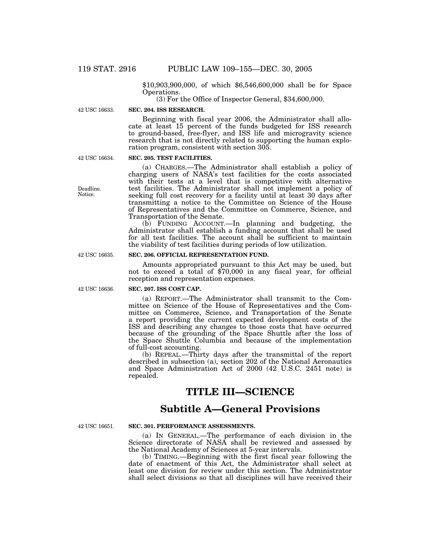\$10,903,900,000, of which \$6,546,600,000 shall be for Space

 $(3)$  For the Office of Inspector General, \$34,600,000.

42 USC 16633.

### **SEC. 204. ISS RESEARCH.**

Beginning with fiscal year 2006, the Administrator shall allocate at least 15 percent of the funds budgeted for ISS research to ground-based, free-flyer, and ISS life and microgravity science research that is not directly related to supporting the human exploration program, consistent with section 305.

42 USC 16634.

### **SEC. 205. TEST FACILITIES.**

(a) CHARGES.—The Administrator shall establish a policy of charging users of NASA's test facilities for the costs associated with their tests at a level that is competitive with alternative test facilities. The Administrator shall not implement a policy of seeking full cost recovery for a facility until at least 30 days after transmitting a notice to the Committee on Science of the House of Representatives and the Committee on Commerce, Science, and Transportation of the Senate.

(b) FUNDING ACCOUNT.—In planning and budgeting, the Administrator shall establish a funding account that shall be used for all test facilities. The account shall be sufficient to maintain the viability of test facilities during periods of low utilization.

### **SEC. 206. OFFICIAL REPRESENTATION FUND.**

Amounts appropriated pursuant to this Act may be used, but not to exceed a total of \$70,000 in any fiscal year, for official reception and representation expenses.

### **SEC. 207. ISS COST CAP.**

(a) REPORT.—The Administrator shall transmit to the Committee on Science of the House of Representatives and the Committee on Commerce, Science, and Transportation of the Senate a report providing the current expected development costs of the ISS and describing any changes to those costs that have occurred because of the grounding of the Space Shuttle after the loss of the Space Shuttle Columbia and because of the implementation of full-cost accounting.

(b) REPEAL.—Thirty days after the transmittal of the report described in subsection (a), section 202 of the National Aeronautics and Space Administration Act of 2000 (42 U.S.C. 2451 note) is repealed.

## **TITLE III—SCIENCE**

## **Subtitle A—General Provisions**

42 USC 16651.

### **SEC. 301. PERFORMANCE ASSESSMENTS.**

(a) IN GENERAL.—The performance of each division in the Science directorate of NASA shall be reviewed and assessed by the National Academy of Sciences at 5-year intervals.

(b) TIMING.—Beginning with the first fiscal year following the date of enactment of this Act, the Administrator shall select at least one division for review under this section. The Administrator shall select divisions so that all disciplines will have received their

Deadline. Notice.

42 USC 16635.

42 USC 16636.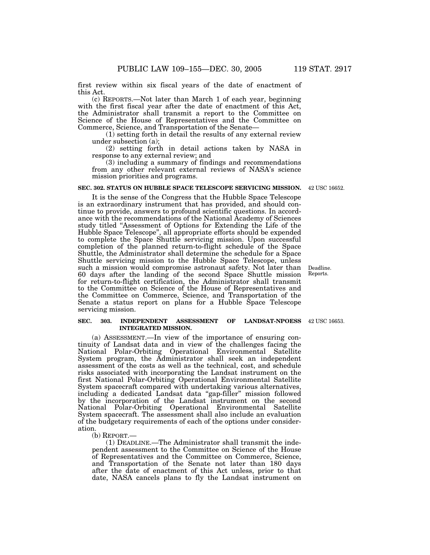first review within six fiscal years of the date of enactment of this Act.

(c) REPORTS.—Not later than March 1 of each year, beginning with the first fiscal year after the date of enactment of this Act, the Administrator shall transmit a report to the Committee on Science of the House of Representatives and the Committee on Commerce, Science, and Transportation of the Senate—

(1) setting forth in detail the results of any external review under subsection (a);

(2) setting forth in detail actions taken by NASA in response to any external review; and

(3) including a summary of findings and recommendations from any other relevant external reviews of NASA's science mission priorities and programs.

#### **SEC. 302. STATUS ON HUBBLE SPACE TELESCOPE SERVICING MISSION.** 42 USC 16652.

It is the sense of the Congress that the Hubble Space Telescope is an extraordinary instrument that has provided, and should continue to provide, answers to profound scientific questions. In accordance with the recommendations of the National Academy of Sciences study titled ''Assessment of Options for Extending the Life of the Hubble Space Telescope'', all appropriate efforts should be expended to complete the Space Shuttle servicing mission. Upon successful completion of the planned return-to-flight schedule of the Space Shuttle, the Administrator shall determine the schedule for a Space Shuttle servicing mission to the Hubble Space Telescope, unless such a mission would compromise astronaut safety. Not later than 60 days after the landing of the second Space Shuttle mission for return-to-flight certification, the Administrator shall transmit to the Committee on Science of the House of Representatives and the Committee on Commerce, Science, and Transportation of the Senate a status report on plans for a Hubble Space Telescope servicing mission.

#### **SEC. 303. INDEPENDENT ASSESSMENT OF LANDSAT-NPOESS** 42 USC 16653. **INTEGRATED MISSION.**

(a) ASSESSMENT.—In view of the importance of ensuring continuity of Landsat data and in view of the challenges facing the National Polar-Orbiting Operational Environmental Satellite System program, the Administrator shall seek an independent assessment of the costs as well as the technical, cost, and schedule risks associated with incorporating the Landsat instrument on the first National Polar-Orbiting Operational Environmental Satellite System spacecraft compared with undertaking various alternatives, including a dedicated Landsat data ''gap-filler'' mission followed by the incorporation of the Landsat instrument on the second National Polar-Orbiting Operational Environmental Satellite System spacecraft. The assessment shall also include an evaluation of the budgetary requirements of each of the options under consideration.<br>(b) REPORT.

 $(1)$  DEADLINE.—The Administrator shall transmit the independent assessment to the Committee on Science of the House of Representatives and the Committee on Commerce, Science, and Transportation of the Senate not later than 180 days after the date of enactment of this Act unless, prior to that date, NASA cancels plans to fly the Landsat instrument on

Deadline. Reports.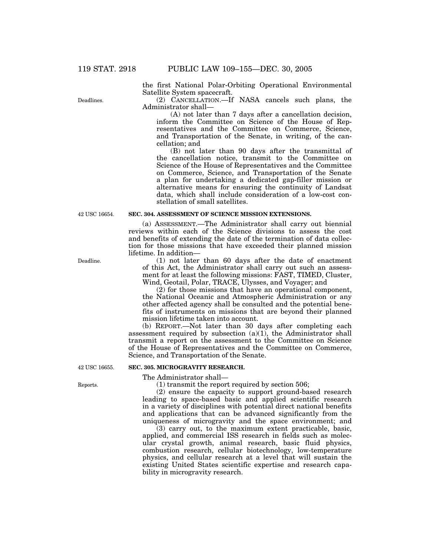the first National Polar-Orbiting Operational Environmental Satellite System spacecraft.

(2) CANCELLATION.—If NASA cancels such plans, the Administrator shall—

(A) not later than 7 days after a cancellation decision, inform the Committee on Science of the House of Representatives and the Committee on Commerce, Science, and Transportation of the Senate, in writing, of the cancellation; and

(B) not later than 90 days after the transmittal of the cancellation notice, transmit to the Committee on Science of the House of Representatives and the Committee on Commerce, Science, and Transportation of the Senate a plan for undertaking a dedicated gap-filler mission or alternative means for ensuring the continuity of Landsat data, which shall include consideration of a low-cost constellation of small satellites.

### **SEC. 304. ASSESSMENT OF SCIENCE MISSION EXTENSIONS.**

(a) ASSESSMENT.—The Administrator shall carry out biennial reviews within each of the Science divisions to assess the cost and benefits of extending the date of the termination of data collection for those missions that have exceeded their planned mission lifetime. In addition—

(1) not later than 60 days after the date of enactment of this Act, the Administrator shall carry out such an assessment for at least the following missions: FAST, TIMED, Cluster, Wind, Geotail, Polar, TRACE, Ulysses, and Voyager; and

(2) for those missions that have an operational component, the National Oceanic and Atmospheric Administration or any other affected agency shall be consulted and the potential benefits of instruments on missions that are beyond their planned mission lifetime taken into account.

(b) REPORT.—Not later than 30 days after completing each assessment required by subsection  $(a)(1)$ , the Administrator shall transmit a report on the assessment to the Committee on Science of the House of Representatives and the Committee on Commerce, Science, and Transportation of the Senate.

#### **SEC. 305. MICROGRAVITY RESEARCH.**

The Administrator shall—

(1) transmit the report required by section 506;

(2) ensure the capacity to support ground-based research leading to space-based basic and applied scientific research in a variety of disciplines with potential direct national benefits and applications that can be advanced significantly from the uniqueness of microgravity and the space environment; and

(3) carry out, to the maximum extent practicable, basic, applied, and commercial ISS research in fields such as molecular crystal growth, animal research, basic fluid physics, combustion research, cellular biotechnology, low-temperature physics, and cellular research at a level that will sustain the existing United States scientific expertise and research capability in microgravity research.

Deadline.

42 USC 16654.

Reports.

42 USC 16655.

Deadlines.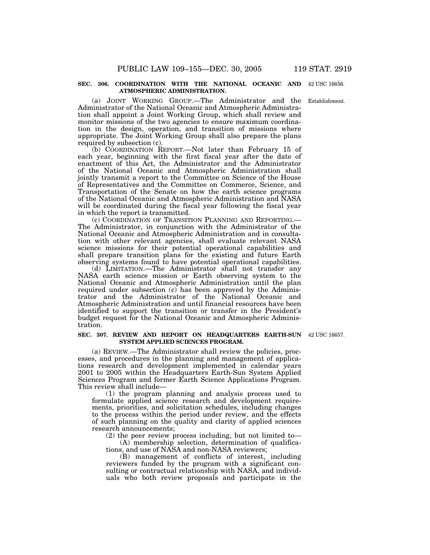#### **SEC. 306. COORDINATION WITH THE NATIONAL OCEANIC AND** 42 USC 16656. **ATMOSPHERIC ADMINISTRATION.**

(a) JOINT WORKING GROUP.—The Administrator and the Establishment. Administrator of the National Oceanic and Atmospheric Administration shall appoint a Joint Working Group, which shall review and monitor missions of the two agencies to ensure maximum coordination in the design, operation, and transition of missions where appropriate. The Joint Working Group shall also prepare the plans required by subsection (c).

(b) COORDINATION REPORT.—Not later than February 15 of each year, beginning with the first fiscal year after the date of enactment of this Act, the Administrator and the Administrator of the National Oceanic and Atmospheric Administration shall jointly transmit a report to the Committee on Science of the House of Representatives and the Committee on Commerce, Science, and Transportation of the Senate on how the earth science programs of the National Oceanic and Atmospheric Administration and NASA will be coordinated during the fiscal year following the fiscal year in which the report is transmitted.

(c) COORDINATION OF TRANSITION PLANNING AND REPORTING.— The Administrator, in conjunction with the Administrator of the National Oceanic and Atmospheric Administration and in consultation with other relevant agencies, shall evaluate relevant NASA science missions for their potential operational capabilities and shall prepare transition plans for the existing and future Earth observing systems found to have potential operational capabilities.

(d) LIMITATION.—The Administrator shall not transfer any NASA earth science mission or Earth observing system to the National Oceanic and Atmospheric Administration until the plan required under subsection (c) has been approved by the Administrator and the Administrator of the National Oceanic and Atmospheric Administration and until financial resources have been identified to support the transition or transfer in the President's budget request for the National Oceanic and Atmospheric Administration.

#### **SEC. 307. REVIEW AND REPORT ON HEADQUARTERS EARTH-SUN** 42 USC 16657. **SYSTEM APPLIED SCIENCES PROGRAM.**

(a) REVIEW.—The Administrator shall review the policies, processes, and procedures in the planning and management of applications research and development implemented in calendar years 2001 to 2005 within the Headquarters Earth-Sun System Applied Sciences Program and former Earth Science Applications Program. This review shall include—

(1) the program planning and analysis process used to formulate applied science research and development requirements, priorities, and solicitation schedules, including changes to the process within the period under review, and the effects of such planning on the quality and clarity of applied sciences research announcements;

(2) the peer review process including, but not limited to—

(A) membership selection, determination of qualifications, and use of NASA and non-NASA reviewers;

(B) management of conflicts of interest, including reviewers funded by the program with a significant consulting or contractual relationship with NASA, and individuals who both review proposals and participate in the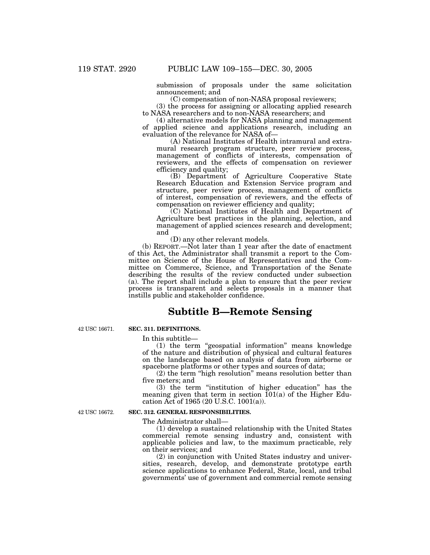submission of proposals under the same solicitation announcement; and

(C) compensation of non-NASA proposal reviewers;

(3) the process for assigning or allocating applied research to NASA researchers and to non-NASA researchers; and

(4) alternative models for NASA planning and management of applied science and applications research, including an evaluation of the relevance for NASA of—

(A) National Institutes of Health intramural and extramural research program structure, peer review process, management of conflicts of interests, compensation of reviewers, and the effects of compensation on reviewer efficiency and quality;

(B) Department of Agriculture Cooperative State Research Education and Extension Service program and structure, peer review process, management of conflicts of interest, compensation of reviewers, and the effects of compensation on reviewer efficiency and quality;

(C) National Institutes of Health and Department of Agriculture best practices in the planning, selection, and management of applied sciences research and development; and

(D) any other relevant models.

(b) REPORT.—Not later than 1 year after the date of enactment of this Act, the Administrator shall transmit a report to the Committee on Science of the House of Representatives and the Committee on Commerce, Science, and Transportation of the Senate describing the results of the review conducted under subsection (a). The report shall include a plan to ensure that the peer review process is transparent and selects proposals in a manner that instills public and stakeholder confidence.

## **Subtitle B—Remote Sensing**

42 USC 16671.

### **SEC. 311. DEFINITIONS.**

In this subtitle—

(1) the term ''geospatial information'' means knowledge of the nature and distribution of physical and cultural features on the landscape based on analysis of data from airborne or spaceborne platforms or other types and sources of data;

(2) the term ''high resolution'' means resolution better than five meters; and

(3) the term ''institution of higher education'' has the meaning given that term in section  $101(a)$  of the Higher Education Act of 1965 (20 U.S.C. 1001(a)).

42 USC 16672.

### **SEC. 312. GENERAL RESPONSIBILITIES.**

The Administrator shall—

(1) develop a sustained relationship with the United States commercial remote sensing industry and, consistent with applicable policies and law, to the maximum practicable, rely on their services; and

(2) in conjunction with United States industry and universities, research, develop, and demonstrate prototype earth science applications to enhance Federal, State, local, and tribal governments' use of government and commercial remote sensing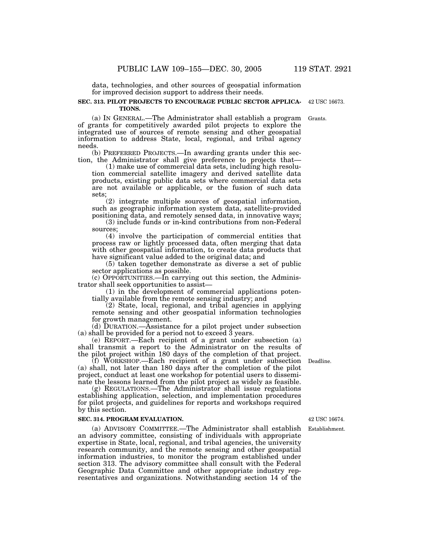data, technologies, and other sources of geospatial information for improved decision support to address their needs.

#### **SEC. 313. PILOT PROJECTS TO ENCOURAGE PUBLIC SECTOR APPLICA-**42 USC 16673. **TIONS.**

(a) IN GENERAL.—The Administrator shall establish a program of grants for competitively awarded pilot projects to explore the integrated use of sources of remote sensing and other geospatial information to address State, local, regional, and tribal agency needs.

(b) PREFERRED PROJECTS.—In awarding grants under this section, the Administrator shall give preference to projects that—

(1) make use of commercial data sets, including high resolution commercial satellite imagery and derived satellite data products, existing public data sets where commercial data sets are not available or applicable, or the fusion of such data sets;

(2) integrate multiple sources of geospatial information, such as geographic information system data, satellite-provided positioning data, and remotely sensed data, in innovative ways;

(3) include funds or in-kind contributions from non-Federal sources;

(4) involve the participation of commercial entities that process raw or lightly processed data, often merging that data with other geospatial information, to create data products that have significant value added to the original data; and

(5) taken together demonstrate as diverse a set of public sector applications as possible.

(c) OPPORTUNITIES.—In carrying out this section, the Administrator shall seek opportunities to assist—

(1) in the development of commercial applications potentially available from the remote sensing industry; and

(2) State, local, regional, and tribal agencies in applying remote sensing and other geospatial information technologies for growth management.

(d) DURATION.—Assistance for a pilot project under subsection (a) shall be provided for a period not to exceed 3 years.

(e) REPORT.—Each recipient of a grant under subsection (a) shall transmit a report to the Administrator on the results of the pilot project within 180 days of the completion of that project.

(f) WORKSHOP.—Each recipient of a grant under subsection (a) shall, not later than 180 days after the completion of the pilot project, conduct at least one workshop for potential users to disseminate the lessons learned from the pilot project as widely as feasible.

(g) REGULATIONS.—The Administrator shall issue regulations establishing application, selection, and implementation procedures for pilot projects, and guidelines for reports and workshops required by this section.

### **SEC. 314. PROGRAM EVALUATION.**

(a) ADVISORY COMMITTEE.—The Administrator shall establish an advisory committee, consisting of individuals with appropriate expertise in State, local, regional, and tribal agencies, the university research community, and the remote sensing and other geospatial information industries, to monitor the program established under section 313. The advisory committee shall consult with the Federal Geographic Data Committee and other appropriate industry representatives and organizations. Notwithstanding section 14 of the

42 USC 16674.

Establishment.

Deadline.

Grants.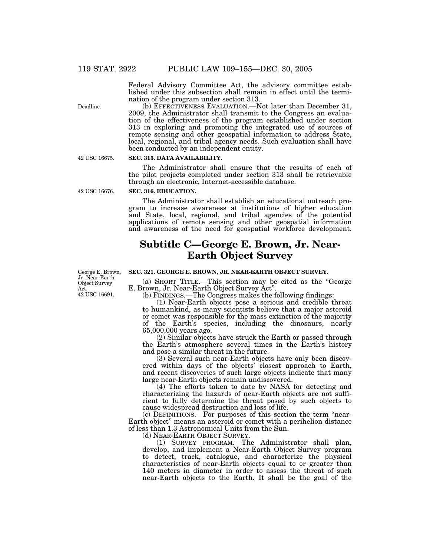Federal Advisory Committee Act, the advisory committee established under this subsection shall remain in effect until the termination of the program under section 313.

(b) EFFECTIVENESS EVALUATION.—Not later than December 31, 2009, the Administrator shall transmit to the Congress an evaluation of the effectiveness of the program established under section 313 in exploring and promoting the integrated use of sources of remote sensing and other geospatial information to address State, local, regional, and tribal agency needs. Such evaluation shall have been conducted by an independent entity.

**SEC. 315. DATA AVAILABILITY.**

The Administrator shall ensure that the results of each of the pilot projects completed under section 313 shall be retrievable through an electronic, Internet-accessible database.

### **SEC. 316. EDUCATION.**

The Administrator shall establish an educational outreach program to increase awareness at institutions of higher education and State, local, regional, and tribal agencies of the potential applications of remote sensing and other geospatial information and awareness of the need for geospatial workforce development.

## **Subtitle C—George E. Brown, Jr. Near-Earth Object Survey**

#### **SEC. 321. GEORGE E. BROWN, JR. NEAR-EARTH OBJECT SURVEY.**

(a) SHORT TITLE.—This section may be cited as the ''George E. Brown, Jr. Near-Earth Object Survey Act''.

(b) FINDINGS.—The Congress makes the following findings:

(1) Near-Earth objects pose a serious and credible threat to humankind, as many scientists believe that a major asteroid or comet was responsible for the mass extinction of the majority of the Earth's species, including the dinosaurs, nearly 65,000,000 years ago.

(2) Similar objects have struck the Earth or passed through the Earth's atmosphere several times in the Earth's history and pose a similar threat in the future.

(3) Several such near-Earth objects have only been discovered within days of the objects' closest approach to Earth, and recent discoveries of such large objects indicate that many large near-Earth objects remain undiscovered.

(4) The efforts taken to date by NASA for detecting and characterizing the hazards of near-Earth objects are not sufficient to fully determine the threat posed by such objects to cause widespread destruction and loss of life.

(c) DEFINITIONS.—For purposes of this section the term ''near-Earth object'' means an asteroid or comet with a perihelion distance of less than 1.3 Astronomical Units from the Sun.

(d) NEAR-EARTH OBJECT SURVEY.— (1) SURVEY PROGRAM.—The Administrator shall plan, develop, and implement a Near-Earth Object Survey program to detect, track, catalogue, and characterize the physical characteristics of near-Earth objects equal to or greater than 140 meters in diameter in order to assess the threat of such near-Earth objects to the Earth. It shall be the goal of the

Deadline.

42 USC 16675.

42 USC 16676.

George E. Brown, Jr. Near-Earth Object Survey Act. 42 USC 16691.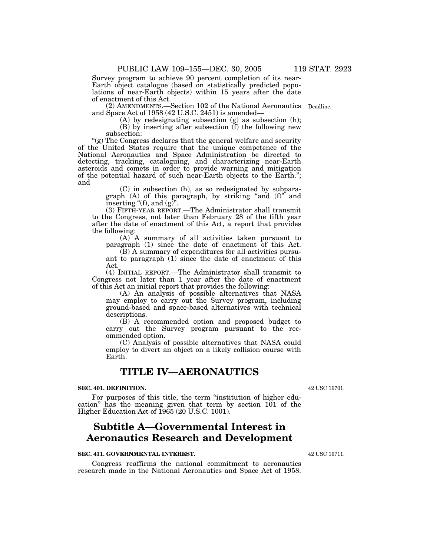Survey program to achieve 90 percent completion of its near-Earth object catalogue (based on statistically predicted populations of near-Earth objects) within 15 years after the date of enactment of this Act.

(2) AMENDMENTS.—Section 102 of the National Aeronautics Deadline. and Space Act of 1958 (42 U.S.C. 2451) is amended—

(A) by redesignating subsection (g) as subsection (h);

(B) by inserting after subsection (f) the following new subsection:

"(g) The Congress declares that the general welfare and security of the United States require that the unique competence of the National Aeronautics and Space Administration be directed to detecting, tracking, cataloguing, and characterizing near-Earth asteroids and comets in order to provide warning and mitigation of the potential hazard of such near-Earth objects to the Earth.''; and

> (C) in subsection (h), as so redesignated by subparagraph  $(A)$  of this paragraph, by striking "and  $(f)$ " and inserting "(f), and  $(g)$ ".

(3) FIFTH-YEAR REPORT.—The Administrator shall transmit to the Congress, not later than February 28 of the fifth year after the date of enactment of this Act, a report that provides the following:

(A) A summary of all activities taken pursuant to paragraph (1) since the date of enactment of this Act.

(B) A summary of expenditures for all activities pursuant to paragraph (1) since the date of enactment of this Act.

(4) INITIAL REPORT.—The Administrator shall transmit to Congress not later than 1 year after the date of enactment of this Act an initial report that provides the following:

(A) An analysis of possible alternatives that NASA may employ to carry out the Survey program, including ground-based and space-based alternatives with technical descriptions.

(B) A recommended option and proposed budget to carry out the Survey program pursuant to the recommended option.

(C) Analysis of possible alternatives that NASA could employ to divert an object on a likely collision course with Earth.

## **TITLE IV—AERONAUTICS**

### **SEC. 401. DEFINITION.**

For purposes of this title, the term "institution of higher education'' has the meaning given that term by section 101 of the Higher Education Act of 1965 (20 U.S.C. 1001).

## **Subtitle A—Governmental Interest in Aeronautics Research and Development**

### **SEC. 411. GOVERNMENTAL INTEREST.**

Congress reaffirms the national commitment to aeronautics research made in the National Aeronautics and Space Act of 1958.

42 USC 16711.

42 USC 16701.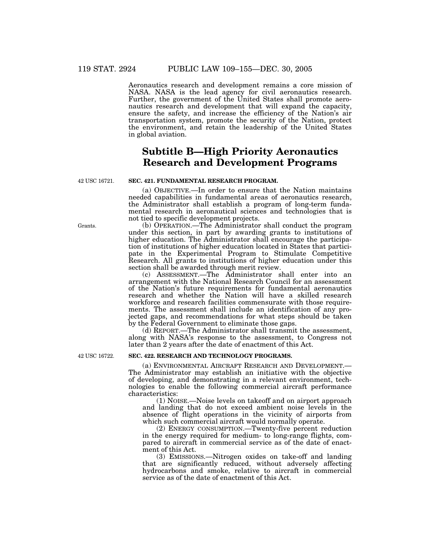Aeronautics research and development remains a core mission of NASA. NASA is the lead agency for civil aeronautics research. Further, the government of the United States shall promote aeronautics research and development that will expand the capacity, ensure the safety, and increase the efficiency of the Nation's air transportation system, promote the security of the Nation, protect the environment, and retain the leadership of the United States in global aviation.

## **Subtitle B—High Priority Aeronautics Research and Development Programs**

42 USC 16721.

## **SEC. 421. FUNDAMENTAL RESEARCH PROGRAM.**

(a) OBJECTIVE.—In order to ensure that the Nation maintains needed capabilities in fundamental areas of aeronautics research, the Administrator shall establish a program of long-term fundamental research in aeronautical sciences and technologies that is not tied to specific development projects.

(b) OPERATION.—The Administrator shall conduct the program under this section, in part by awarding grants to institutions of higher education. The Administrator shall encourage the participation of institutions of higher education located in States that participate in the Experimental Program to Stimulate Competitive Research. All grants to institutions of higher education under this section shall be awarded through merit review.

(c) ASSESSMENT.—The Administrator shall enter into an arrangement with the National Research Council for an assessment of the Nation's future requirements for fundamental aeronautics research and whether the Nation will have a skilled research workforce and research facilities commensurate with those requirements. The assessment shall include an identification of any projected gaps, and recommendations for what steps should be taken by the Federal Government to eliminate those gaps.

(d) REPORT.—The Administrator shall transmit the assessment, along with NASA's response to the assessment, to Congress not later than 2 years after the date of enactment of this Act.

42 USC 16722.

### **SEC. 422. RESEARCH AND TECHNOLOGY PROGRAMS.**

(a) ENVIRONMENTAL AIRCRAFT RESEARCH AND DEVELOPMENT.— The Administrator may establish an initiative with the objective of developing, and demonstrating in a relevant environment, technologies to enable the following commercial aircraft performance characteristics:

(1) NOISE.—Noise levels on takeoff and on airport approach and landing that do not exceed ambient noise levels in the absence of flight operations in the vicinity of airports from which such commercial aircraft would normally operate.

(2) ENERGY CONSUMPTION.—Twenty-five percent reduction in the energy required for medium- to long-range flights, compared to aircraft in commercial service as of the date of enactment of this Act.

(3) EMISSIONS.—Nitrogen oxides on take-off and landing that are significantly reduced, without adversely affecting hydrocarbons and smoke, relative to aircraft in commercial service as of the date of enactment of this Act.

Grants.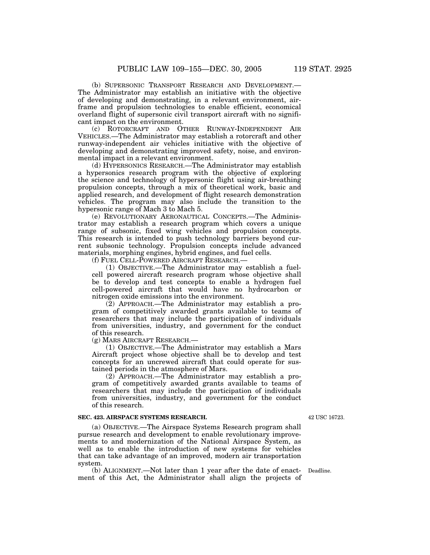(b) SUPERSONIC TRANSPORT RESEARCH AND DEVELOPMENT.— The Administrator may establish an initiative with the objective of developing and demonstrating, in a relevant environment, airframe and propulsion technologies to enable efficient, economical overland flight of supersonic civil transport aircraft with no significant impact on the environment.

(c) ROTORCRAFT AND OTHER RUNWAY-INDEPENDENT AIR VEHICLES.—The Administrator may establish a rotorcraft and other runway-independent air vehicles initiative with the objective of developing and demonstrating improved safety, noise, and environmental impact in a relevant environment.

(d) HYPERSONICS RESEARCH.—The Administrator may establish a hypersonics research program with the objective of exploring the science and technology of hypersonic flight using air-breathing propulsion concepts, through a mix of theoretical work, basic and applied research, and development of flight research demonstration vehicles. The program may also include the transition to the hypersonic range of Mach 3 to Mach 5.

(e) REVOLUTIONARY AERONAUTICAL CONCEPTS.—The Administrator may establish a research program which covers a unique range of subsonic, fixed wing vehicles and propulsion concepts. This research is intended to push technology barriers beyond current subsonic technology. Propulsion concepts include advanced materials, morphing engines, hybrid engines, and fuel cells.

(f) FUEL CELL-POWERED AIRCRAFT RESEARCH.—

(1) OBJECTIVE.—The Administrator may establish a fuelcell powered aircraft research program whose objective shall be to develop and test concepts to enable a hydrogen fuel cell-powered aircraft that would have no hydrocarbon or nitrogen oxide emissions into the environment.

(2) APPROACH.—The Administrator may establish a program of competitively awarded grants available to teams of researchers that may include the participation of individuals from universities, industry, and government for the conduct of this research.

(g) MARS AIRCRAFT RESEARCH.—

(1) OBJECTIVE.—The Administrator may establish a Mars Aircraft project whose objective shall be to develop and test concepts for an uncrewed aircraft that could operate for sustained periods in the atmosphere of Mars.

(2) APPROACH.—The Administrator may establish a program of competitively awarded grants available to teams of researchers that may include the participation of individuals from universities, industry, and government for the conduct of this research.

#### **SEC. 423. AIRSPACE SYSTEMS RESEARCH.**

(a) OBJECTIVE.—The Airspace Systems Research program shall pursue research and development to enable revolutionary improvements to and modernization of the National Airspace System, as well as to enable the introduction of new systems for vehicles that can take advantage of an improved, modern air transportation system.

(b) ALIGNMENT.—Not later than 1 year after the date of enact-Deadline. ment of this Act, the Administrator shall align the projects of

42 USC 16723.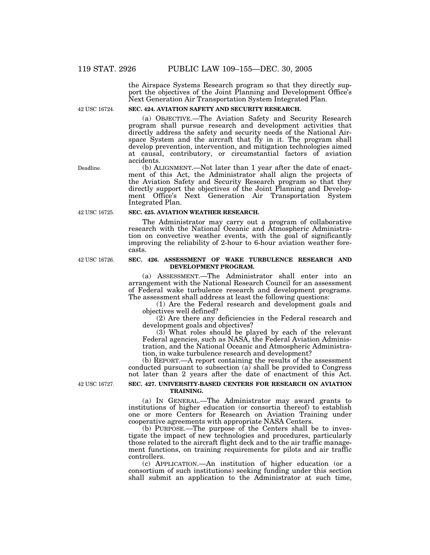the Airspace Systems Research program so that they directly support the objectives of the Joint Planning and Development Office's Next Generation Air Transportation System Integrated Plan.

42 USC 16724.

### **SEC. 424. AVIATION SAFETY AND SECURITY RESEARCH.**

(a) OBJECTIVE.—The Aviation Safety and Security Research program shall pursue research and development activities that directly address the safety and security needs of the National Airspace System and the aircraft that fly in it. The program shall develop prevention, intervention, and mitigation technologies aimed at causal, contributory, or circumstantial factors of aviation accidents.

(b) ALIGNMENT.—Not later than 1 year after the date of enactment of this Act, the Administrator shall align the projects of the Aviation Safety and Security Research program so that they directly support the objectives of the Joint Planning and Development Office's Next Generation Air Transportation System Integrated Plan.

#### **SEC. 425. AVIATION WEATHER RESEARCH.**

The Administrator may carry out a program of collaborative research with the National Oceanic and Atmospheric Administration on convective weather events, with the goal of significantly improving the reliability of 2-hour to 6-hour aviation weather forecasts.

### **SEC. 426. ASSESSMENT OF WAKE TURBULENCE RESEARCH AND DEVELOPMENT PROGRAM.**

(a) ASSESSMENT.—The Administrator shall enter into an arrangement with the National Research Council for an assessment of Federal wake turbulence research and development programs. The assessment shall address at least the following questions:

(1) Are the Federal research and development goals and objectives well defined?

(2) Are there any deficiencies in the Federal research and development goals and objectives?

(3) What roles should be played by each of the relevant Federal agencies, such as NASA, the Federal Aviation Administration, and the National Oceanic and Atmospheric Administration, in wake turbulence research and development?

(b) REPORT.—A report containing the results of the assessment conducted pursuant to subsection (a) shall be provided to Congress not later than 2 years after the date of enactment of this Act.

42 USC 16727.

### **SEC. 427. UNIVERSITY-BASED CENTERS FOR RESEARCH ON AVIATION TRAINING.**

(a) IN GENERAL.—The Administrator may award grants to institutions of higher education (or consortia thereof) to establish one or more Centers for Research on Aviation Training under cooperative agreements with appropriate NASA Centers.

(b) PURPOSE.—The purpose of the Centers shall be to investigate the impact of new technologies and procedures, particularly those related to the aircraft flight deck and to the air traffic management functions, on training requirements for pilots and air traffic controllers.

(c) APPLICATION.—An institution of higher education (or a consortium of such institutions) seeking funding under this section shall submit an application to the Administrator at such time,

Deadline.

42 USC 16725.

42 USC 16726.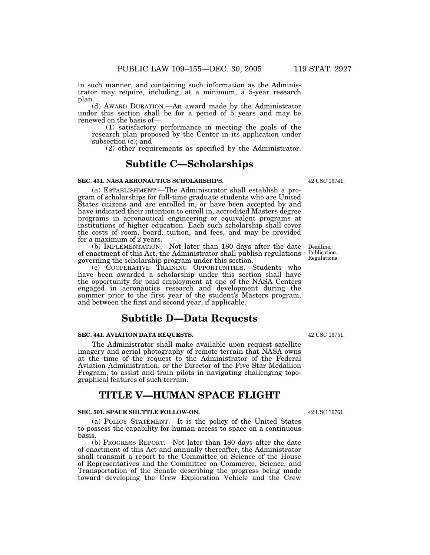in such manner, and containing such information as the Administrator may require, including, at a minimum, a 5-year research plan.

(d) AWARD DURATION.—An award made by the Administrator under this section shall be for a period of  $5$  years and may be renewed on the basis of—

(1) satisfactory performance in meeting the goals of the research plan proposed by the Center in its application under subsection (c); and

(2) other requirements as specified by the Administrator.

## **Subtitle C—Scholarships**

### **SEC. 431. NASA AERONAUTICS SCHOLARSHIPS.**

(a) ESTABLISHMENT.—The Administrator shall establish a program of scholarships for full-time graduate students who are United States citizens and are enrolled in, or have been accepted by and have indicated their intention to enroll in, accredited Masters degree programs in aeronautical engineering or equivalent programs at institutions of higher education. Each such scholarship shall cover the costs of room, board, tuition, and fees, and may be provided for a maximum of  $2$  years.

(b) IMPLEMENTATION.—Not later than 180 days after the date of enactment of this Act, the Administrator shall publish regulations governing the scholarship program under this section.

(c) COOPERATIVE TRAINING OPPORTUNITIES.—Students who have been awarded a scholarship under this section shall have the opportunity for paid employment at one of the NASA Centers engaged in aeronautics research and development during the summer prior to the first year of the student's Masters program, and between the first and second year, if applicable.

## **Subtitle D—Data Requests**

### **SEC. 441. AVIATION DATA REQUESTS.**

The Administrator shall make available upon request satellite imagery and aerial photography of remote terrain that NASA owns at the time of the request to the Administrator of the Federal Aviation Administration, or the Director of the Five Star Medallion Program, to assist and train pilots in navigating challenging topographical features of such terrain.

## **TITLE V—HUMAN SPACE FLIGHT**

### **SEC. 501. SPACE SHUTTLE FOLLOW-ON.**

(a) POLICY STATEMENT.—It is the policy of the United States to possess the capability for human access to space on a continuous basis.

(b) PROGRESS REPORT.—Not later than 180 days after the date of enactment of this Act and annually thereafter, the Administrator shall transmit a report to the Committee on Science of the House of Representatives and the Committee on Commerce, Science, and Transportation of the Senate describing the progress being made toward developing the Crew Exploration Vehicle and the Crew

42 USC 16741.

Regulations.

Deadline. Publication.

42 USC 16751.

42 USC 16761.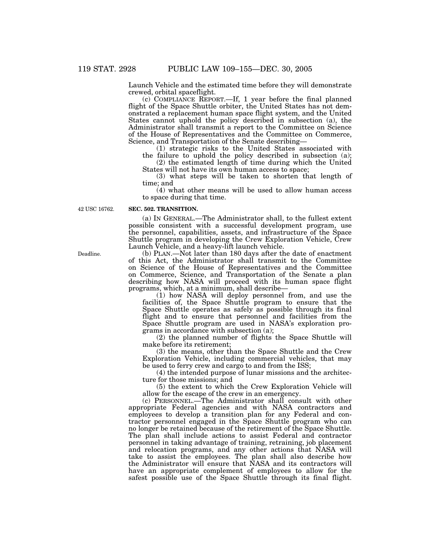Launch Vehicle and the estimated time before they will demonstrate crewed, orbital spaceflight.

(c) COMPLIANCE REPORT.—If, 1 year before the final planned flight of the Space Shuttle orbiter, the United States has not demonstrated a replacement human space flight system, and the United States cannot uphold the policy described in subsection (a), the Administrator shall transmit a report to the Committee on Science of the House of Representatives and the Committee on Commerce, Science, and Transportation of the Senate describing—

(1) strategic risks to the United States associated with the failure to uphold the policy described in subsection (a);

(2) the estimated length of time during which the United States will not have its own human access to space;

(3) what steps will be taken to shorten that length of time; and

(4) what other means will be used to allow human access to space during that time.

42 USC 16762.

### **SEC. 502. TRANSITION.**

(a) IN GENERAL.—The Administrator shall, to the fullest extent possible consistent with a successful development program, use the personnel, capabilities, assets, and infrastructure of the Space Shuttle program in developing the Crew Exploration Vehicle, Crew Launch Vehicle, and a heavy-lift launch vehicle.

(b) PLAN.—Not later than 180 days after the date of enactment of this Act, the Administrator shall transmit to the Committee on Science of the House of Representatives and the Committee on Commerce, Science, and Transportation of the Senate a plan describing how NASA will proceed with its human space flight programs, which, at a minimum, shall describe—

(1) how NASA will deploy personnel from, and use the facilities of, the Space Shuttle program to ensure that the Space Shuttle operates as safely as possible through its final flight and to ensure that personnel and facilities from the Space Shuttle program are used in NASA's exploration programs in accordance with subsection (a);

(2) the planned number of flights the Space Shuttle will make before its retirement;

(3) the means, other than the Space Shuttle and the Crew Exploration Vehicle, including commercial vehicles, that may be used to ferry crew and cargo to and from the ISS;

(4) the intended purpose of lunar missions and the architecture for those missions; and

(5) the extent to which the Crew Exploration Vehicle will allow for the escape of the crew in an emergency.

(c) PERSONNEL.—The Administrator shall consult with other appropriate Federal agencies and with NASA contractors and employees to develop a transition plan for any Federal and contractor personnel engaged in the Space Shuttle program who can no longer be retained because of the retirement of the Space Shuttle. The plan shall include actions to assist Federal and contractor personnel in taking advantage of training, retraining, job placement and relocation programs, and any other actions that NASA will take to assist the employees. The plan shall also describe how the Administrator will ensure that NASA and its contractors will have an appropriate complement of employees to allow for the safest possible use of the Space Shuttle through its final flight.

Deadline.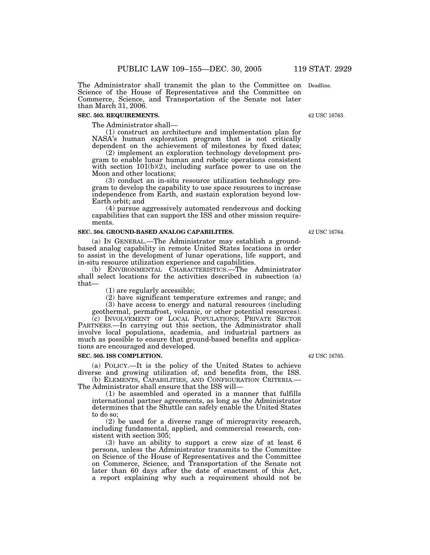The Administrator shall transmit the plan to the Committee on Deadline. Science of the House of Representatives and the Committee on Commerce, Science, and Transportation of the Senate not later than March 31, 2006.

### **SEC. 503. REQUIREMENTS.**

The Administrator shall—

(1) construct an architecture and implementation plan for NASA's human exploration program that is not critically dependent on the achievement of milestones by fixed dates;

(2) implement an exploration technology development program to enable lunar human and robotic operations consistent with section  $101(b)(2)$ , including surface power to use on the Moon and other locations;

(3) conduct an in-situ resource utilization technology program to develop the capability to use space resources to increase independence from Earth, and sustain exploration beyond low-Earth orbit; and

(4) pursue aggressively automated rendezvous and docking capabilities that can support the ISS and other mission requirements.

### **SEC. 504. GROUND-BASED ANALOG CAPABILITIES.**

(a) IN GENERAL.—The Administrator may establish a groundbased analog capability in remote United States locations in order to assist in the development of lunar operations, life support, and in-situ resource utilization experience and capabilities.

(b) ENVIRONMENTAL CHARACTERISTICS.—The Administrator shall select locations for the activities described in subsection (a) that—

(1) are regularly accessible;

(2) have significant temperature extremes and range; and (3) have access to energy and natural resources (including

geothermal, permafrost, volcanic, or other potential resources).

(c) INVOLVEMENT OF LOCAL POPULATIONS; PRIVATE SECTOR PARTNERS.—In carrying out this section, the Administrator shall involve local populations, academia, and industrial partners as much as possible to ensure that ground-based benefits and applications are encouraged and developed.

### **SEC. 505. ISS COMPLETION.**

(a) POLICY.—It is the policy of the United States to achieve diverse and growing utilization of, and benefits from, the ISS.

(b) ELEMENTS, CAPABILITIES, AND CONFIGURATION CRITERIA.— The Administrator shall ensure that the ISS will—

(1) be assembled and operated in a manner that fulfills international partner agreements, as long as the Administrator determines that the Shuttle can safely enable the United States to do so;

(2) be used for a diverse range of microgravity research, including fundamental, applied, and commercial research, consistent with section 305;

(3) have an ability to support a crew size of at least 6 persons, unless the Administrator transmits to the Committee on Science of the House of Representatives and the Committee on Commerce, Science, and Transportation of the Senate not later than 60 days after the date of enactment of this Act, a report explaining why such a requirement should not be

42 USC 16765.

42 USC 16763.

42 USC 16764.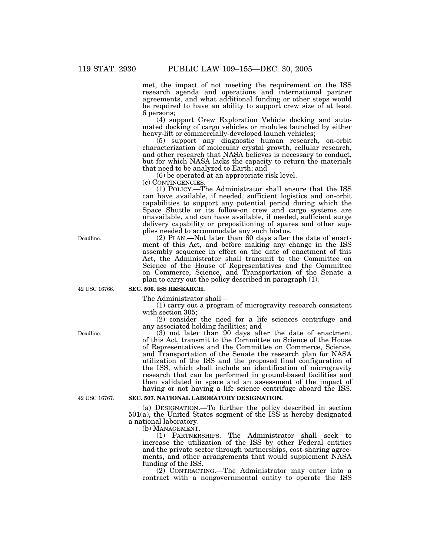met, the impact of not meeting the requirement on the ISS research agenda and operations and international partner agreements, and what additional funding or other steps would be required to have an ability to support crew size of at least 6 persons;

(4) support Crew Exploration Vehicle docking and automated docking of cargo vehicles or modules launched by either heavy-lift or commercially-developed launch vehicles;

(5) support any diagnostic human research, on-orbit characterization of molecular crystal growth, cellular research, and other research that NASA believes is necessary to conduct, but for which NASA lacks the capacity to return the materials that need to be analyzed to Earth; and

 $(6)$  be operated at an appropriate risk level.<br>(c) CONTINGENCIES.—

(1) POLICY.—The Administrator shall ensure that the ISS can have available, if needed, sufficient logistics and on-orbit capabilities to support any potential period during which the Space Shuttle or its follow-on crew and cargo systems are unavailable, and can have available, if needed, sufficient surge delivery capability or prepositioning of spares and other supplies needed to accommodate any such hiatus.

(2) PLAN.—Not later than 60 days after the date of enactment of this Act, and before making any change in the ISS assembly sequence in effect on the date of enactment of this Act, the Administrator shall transmit to the Committee on Science of the House of Representatives and the Committee on Commerce, Science, and Transportation of the Senate a plan to carry out the policy described in paragraph (1).

42 USC 16766.

## **SEC. 506. ISS RESEARCH.**

The Administrator shall—

(1) carry out a program of microgravity research consistent with section 305;

(2) consider the need for a life sciences centrifuge and any associated holding facilities; and

(3) not later than 90 days after the date of enactment of this Act, transmit to the Committee on Science of the House of Representatives and the Committee on Commerce, Science, and Transportation of the Senate the research plan for NASA utilization of the ISS and the proposed final configuration of the ISS, which shall include an identification of microgravity research that can be performed in ground-based facilities and then validated in space and an assessment of the impact of having or not having a life science centrifuge aboard the ISS.

### **SEC. 507. NATIONAL LABORATORY DESIGNATION.**

(a) DESIGNATION.—To further the policy described in section 501(a), the United States segment of the ISS is hereby designated a national laboratory.

(b) MANAGEMENT.—

(1) PARTNERSHIPS.—The Administrator shall seek to increase the utilization of the ISS by other Federal entities and the private sector through partnerships, cost-sharing agreements, and other arrangements that would supplement NASA funding of the ISS.

(2) CONTRACTING.—The Administrator may enter into a contract with a nongovernmental entity to operate the ISS

Deadline.

Deadline.

42 USC 16767.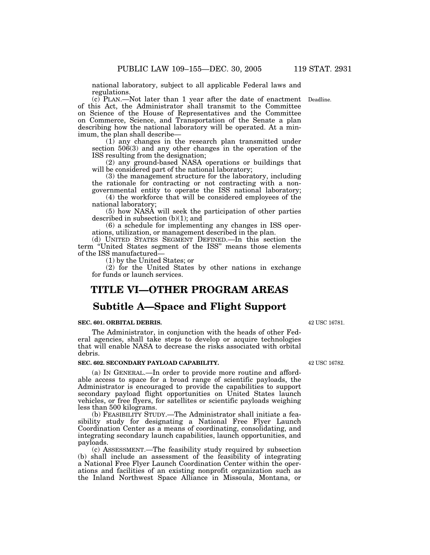national laboratory, subject to all applicable Federal laws and regulations.

(c) PLAN.—Not later than 1 year after the date of enactment Deadline. of this Act, the Administrator shall transmit to the Committee on Science of the House of Representatives and the Committee on Commerce, Science, and Transportation of the Senate a plan describing how the national laboratory will be operated. At a minimum, the plan shall describe—

(1) any changes in the research plan transmitted under section 506(3) and any other changes in the operation of the ISS resulting from the designation;

(2) any ground-based NASA operations or buildings that will be considered part of the national laboratory;

(3) the management structure for the laboratory, including the rationale for contracting or not contracting with a nongovernmental entity to operate the ISS national laboratory;

(4) the workforce that will be considered employees of the national laboratory;

(5) how NASA will seek the participation of other parties described in subsection (b)(1); and

(6) a schedule for implementing any changes in ISS operations, utilization, or management described in the plan.

(d) UNITED STATES SEGMENT DEFINED.—In this section the term ''United States segment of the ISS'' means those elements of the ISS manufactured—

(1) by the United States; or

(2) for the United States by other nations in exchange for funds or launch services.

## **TITLE VI—OTHER PROGRAM AREAS**

## **Subtitle A—Space and Flight Support**

### **SEC. 601. ORBITAL DEBRIS.**

The Administrator, in conjunction with the heads of other Federal agencies, shall take steps to develop or acquire technologies that will enable NASA to decrease the risks associated with orbital debris.

### **SEC. 602. SECONDARY PAYLOAD CAPABILITY.**

(a) IN GENERAL.—In order to provide more routine and affordable access to space for a broad range of scientific payloads, the Administrator is encouraged to provide the capabilities to support secondary payload flight opportunities on United States launch vehicles, or free flyers, for satellites or scientific payloads weighing less than 500 kilograms.

(b) FEASIBILITY STUDY.—The Administrator shall initiate a feasibility study for designating a National Free Flyer Launch Coordination Center as a means of coordinating, consolidating, and integrating secondary launch capabilities, launch opportunities, and payloads.

(c) ASSESSMENT.—The feasibility study required by subsection (b) shall include an assessment of the feasibility of integrating a National Free Flyer Launch Coordination Center within the operations and facilities of an existing nonprofit organization such as the Inland Northwest Space Alliance in Missoula, Montana, or

42 USC 16782.

42 USC 16781.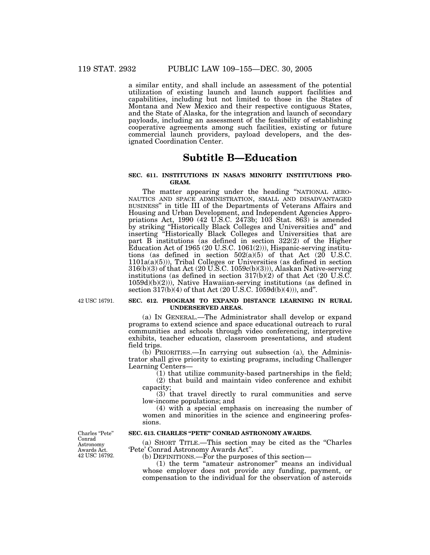a similar entity, and shall include an assessment of the potential utilization of existing launch and launch support facilities and capabilities, including but not limited to those in the States of Montana and New Mexico and their respective contiguous States, and the State of Alaska, for the integration and launch of secondary payloads, including an assessment of the feasibility of establishing cooperative agreements among such facilities, existing or future commercial launch providers, payload developers, and the designated Coordination Center.

## **Subtitle B—Education**

### **SEC. 611. INSTITUTIONS IN NASA'S MINORITY INSTITUTIONS PRO-GRAM.**

The matter appearing under the heading "NATIONAL AERO-NAUTICS AND SPACE ADMINISTRATION, SMALL AND DISADVANTAGED BUSINESS'' in title III of the Departments of Veterans Affairs and Housing and Urban Development, and Independent Agencies Appropriations Act, 1990 (42 U.S.C. 2473b; 103 Stat. 863) is amended by striking ''Historically Black Colleges and Universities and'' and inserting ''Historically Black Colleges and Universities that are part B institutions (as defined in section 322(2) of the Higher Education Act of 1965 (20 U.S.C. 1061(2))), Hispanic-serving institutions (as defined in section  $502(a)(5)$  of that Act (20 U.S.C. 1101a(a)(5))), Tribal Colleges or Universities (as defined in section 316(b)(3) of that Act (20 U.S.C. 1059c(b)(3))), Alaskan Native-serving institutions (as defined in section  $317(b)(2)$  of that Act (20 U.S.C. 1059d)(b)(2))), Native Hawaiian-serving institutions (as defined in section  $317(b)(4)$  of that Act  $(20 U.S.C. 1059d(b)(4))$ , and".

42 USC 16791.

### **SEC. 612. PROGRAM TO EXPAND DISTANCE LEARNING IN RURAL UNDERSERVED AREAS.**

(a) IN GENERAL.—The Administrator shall develop or expand programs to extend science and space educational outreach to rural communities and schools through video conferencing, interpretive exhibits, teacher education, classroom presentations, and student field trips.

(b) PRIORITIES.—In carrying out subsection (a), the Administrator shall give priority to existing programs, including Challenger Learning Centers—

(1) that utilize community-based partnerships in the field; (2) that build and maintain video conference and exhibit capacity;

(3) that travel directly to rural communities and serve low-income populations; and

(4) with a special emphasis on increasing the number of women and minorities in the science and engineering professions.

### **SEC. 613. CHARLES ''PETE'' CONRAD ASTRONOMY AWARDS.**

(a) SHORT TITLE.—This section may be cited as the ''Charles 'Pete' Conrad Astronomy Awards Act''.

(b) DEFINITIONS.—For the purposes of this section—

(1) the term "amateur astronomer" means an individual whose employer does not provide any funding, payment, or compensation to the individual for the observation of asteroids

Charles "Pete" Conrad Astronomy Awards Act. 42 USC 16792.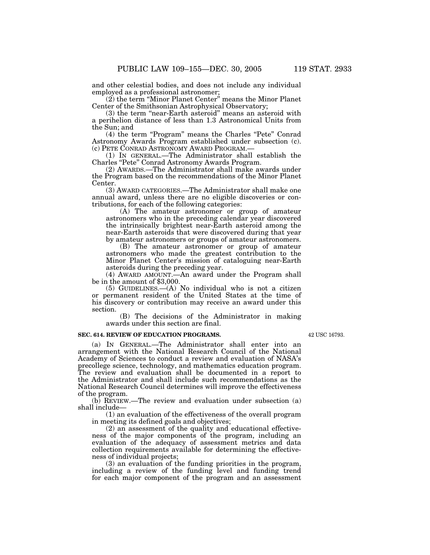and other celestial bodies, and does not include any individual employed as a professional astronomer;

(2) the term ''Minor Planet Center'' means the Minor Planet Center of the Smithsonian Astrophysical Observatory;

(3) the term ''near-Earth asteroid'' means an asteroid with a perihelion distance of less than 1.3 Astronomical Units from the Sun; and

(4) the term "Program" means the Charles "Pete" Conrad Astronomy Awards Program established under subsection (c). (c) PETE CONRAD ASTRONOMY AWARD PROGRAM.— (1) IN GENERAL.—The Administrator shall establish the

Charles ''Pete'' Conrad Astronomy Awards Program.

(2) AWARDS.—The Administrator shall make awards under the Program based on the recommendations of the Minor Planet Center.

(3) AWARD CATEGORIES.—The Administrator shall make one annual award, unless there are no eligible discoveries or contributions, for each of the following categories:

(A) The amateur astronomer or group of amateur astronomers who in the preceding calendar year discovered the intrinsically brightest near-Earth asteroid among the near-Earth asteroids that were discovered during that year by amateur astronomers or groups of amateur astronomers.

(B) The amateur astronomer or group of amateur astronomers who made the greatest contribution to the Minor Planet Center's mission of cataloguing near-Earth asteroids during the preceding year.

(4) AWARD AMOUNT.—An award under the Program shall be in the amount of \$3,000.

(5) GUIDELINES.—(A) No individual who is not a citizen or permanent resident of the United States at the time of his discovery or contribution may receive an award under this section.

(B) The decisions of the Administrator in making awards under this section are final.

### **SEC. 614. REVIEW OF EDUCATION PROGRAMS.**

(a) IN GENERAL.—The Administrator shall enter into an arrangement with the National Research Council of the National Academy of Sciences to conduct a review and evaluation of NASA's precollege science, technology, and mathematics education program. The review and evaluation shall be documented in a report to the Administrator and shall include such recommendations as the National Research Council determines will improve the effectiveness of the program.

(b) REVIEW.—The review and evaluation under subsection (a) shall include—

(1) an evaluation of the effectiveness of the overall program in meeting its defined goals and objectives;

(2) an assessment of the quality and educational effectiveness of the major components of the program, including an evaluation of the adequacy of assessment metrics and data collection requirements available for determining the effectiveness of individual projects;

(3) an evaluation of the funding priorities in the program, including a review of the funding level and funding trend for each major component of the program and an assessment

42 USC 16793.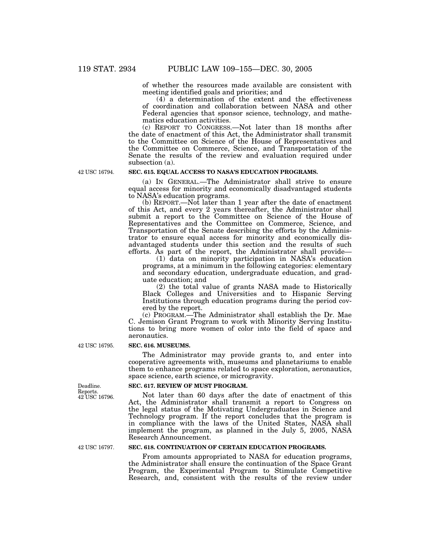of whether the resources made available are consistent with meeting identified goals and priorities; and

(4) a determination of the extent and the effectiveness of coordination and collaboration between NASA and other Federal agencies that sponsor science, technology, and mathematics education activities.

(c) REPORT TO CONGRESS.—Not later than 18 months after the date of enactment of this Act, the Administrator shall transmit to the Committee on Science of the House of Representatives and the Committee on Commerce, Science, and Transportation of the Senate the results of the review and evaluation required under subsection (a).

42 USC 16794.

### **SEC. 615. EQUAL ACCESS TO NASA'S EDUCATION PROGRAMS.**

(a) IN GENERAL.—The Administrator shall strive to ensure equal access for minority and economically disadvantaged students to NASA's education programs.

(b) REPORT.—Not later than 1 year after the date of enactment of this Act, and every 2 years thereafter, the Administrator shall submit a report to the Committee on Science of the House of Representatives and the Committee on Commerce, Science, and Transportation of the Senate describing the efforts by the Administrator to ensure equal access for minority and economically disadvantaged students under this section and the results of such efforts. As part of the report, the Administrator shall provide—

(1) data on minority participation in NASA's education programs, at a minimum in the following categories: elementary and secondary education, undergraduate education, and graduate education; and

(2) the total value of grants NASA made to Historically Black Colleges and Universities and to Hispanic Serving Institutions through education programs during the period covered by the report.

(c) PROGRAM.—The Administrator shall establish the Dr. Mae C. Jemison Grant Program to work with Minority Serving Institutions to bring more women of color into the field of space and aeronautics.

### **SEC. 616. MUSEUMS.**

The Administrator may provide grants to, and enter into cooperative agreements with, museums and planetariums to enable them to enhance programs related to space exploration, aeronautics, space science, earth science, or microgravity.

### **SEC. 617. REVIEW OF MUST PROGRAM.**

Not later than 60 days after the date of enactment of this Act, the Administrator shall transmit a report to Congress on the legal status of the Motivating Undergraduates in Science and Technology program. If the report concludes that the program is in compliance with the laws of the United States, NASA shall implement the program, as planned in the July 5, 2005, NASA Research Announcement.

42 USC 16797.

### **SEC. 618. CONTINUATION OF CERTAIN EDUCATION PROGRAMS.**

From amounts appropriated to NASA for education programs, the Administrator shall ensure the continuation of the Space Grant Program, the Experimental Program to Stimulate Competitive Research, and, consistent with the results of the review under

42 USC 16795.

Deadline. Reports. 42 USC 16796.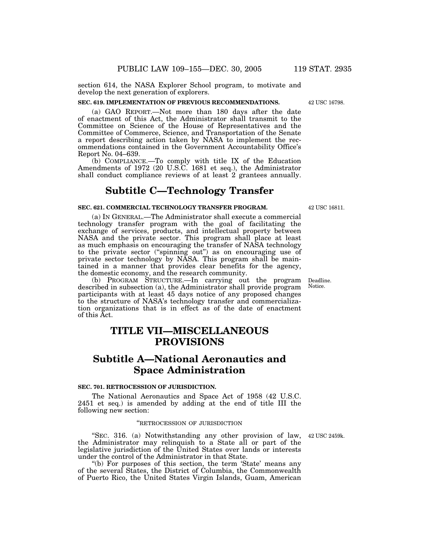section 614, the NASA Explorer School program, to motivate and develop the next generation of explorers.

### **SEC. 619. IMPLEMENTATION OF PREVIOUS RECOMMENDATIONS.**

(a) GAO REPORT.—Not more than 180 days after the date of enactment of this Act, the Administrator shall transmit to the Committee on Science of the House of Representatives and the Committee of Commerce, Science, and Transportation of the Senate a report describing action taken by NASA to implement the recommendations contained in the Government Accountability Office's Report No. 04–639.

(b) COMPLIANCE.—To comply with title IX of the Education Amendments of 1972 (20 U.S.C. 1681 et seq.), the Administrator shall conduct compliance reviews of at least 2 grantees annually.

## **Subtitle C—Technology Transfer**

### **SEC. 621. COMMERCIAL TECHNOLOGY TRANSFER PROGRAM.**

(a) IN GENERAL.—The Administrator shall execute a commercial technology transfer program with the goal of facilitating the exchange of services, products, and intellectual property between NASA and the private sector. This program shall place at least as much emphasis on encouraging the transfer of NASA technology to the private sector (''spinning out'') as on encouraging use of private sector technology by NASA. This program shall be maintained in a manner that provides clear benefits for the agency, the domestic economy, and the research community.

(b) PROGRAM STRUCTURE.—In carrying out the program described in subsection (a), the Administrator shall provide program participants with at least 45 days notice of any proposed changes to the structure of NASA's technology transfer and commercialization organizations that is in effect as of the date of enactment of this Act.

## **TITLE VII—MISCELLANEOUS PROVISIONS**

## **Subtitle A—National Aeronautics and Space Administration**

### **SEC. 701. RETROCESSION OF JURISDICTION.**

The National Aeronautics and Space Act of 1958 (42 U.S.C. 2451 et seq.) is amended by adding at the end of title III the following new section:

### ''RETROCESSION OF JURISDICTION

"SEC. 316. (a) Notwithstanding any other provision of law, 42 USC 2459k. the Administrator may relinquish to a State all or part of the legislative jurisdiction of the United States over lands or interests under the control of the Administrator in that State.

"(b) For purposes of this section, the term 'State' means any of the several States, the District of Columbia, the Commonwealth of Puerto Rico, the United States Virgin Islands, Guam, American

Deadline. Notice.

42 USC 16798.

42 USC 16811.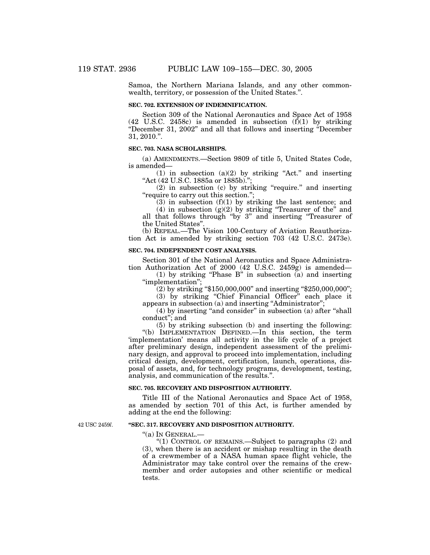Samoa, the Northern Mariana Islands, and any other commonwealth, territory, or possession of the United States.''.

### **SEC. 702. EXTENSION OF INDEMNIFICATION.**

Section 309 of the National Aeronautics and Space Act of 1958 (42 U.S.C. 2458c) is amended in subsection (f)(1) by striking ''December 31, 2002'' and all that follows and inserting ''December 31, 2010.''.

### **SEC. 703. NASA SCHOLARSHIPS.**

(a) AMENDMENTS.—Section 9809 of title 5, United States Code, is amended—

(1) in subsection  $(a)(2)$  by striking "Act." and inserting "Act (42 U.S.C. 1885a or 1885b)."

(2) in subsection (c) by striking ''require.'' and inserting "require to carry out this section.";

 $(3)$  in subsection  $(f)(1)$  by striking the last sentence; and

(4) in subsection  $(g)(2)$  by striking "Treasurer of the" and all that follows through ''by 3'' and inserting ''Treasurer of the United States''.

(b) REPEAL.—The Vision 100-Century of Aviation Reauthorization Act is amended by striking section 703 (42 U.S.C. 2473e).

### **SEC. 704. INDEPENDENT COST ANALYSIS.**

Section 301 of the National Aeronautics and Space Administration Authorization Act of 2000 (42 U.S.C. 2459 $g$ ) is amended—

(1) by striking "Phase B" in subsection  $\overline{a}$  and inserting ''implementation'';

(2) by striking ''\$150,000,000'' and inserting ''\$250,000,000'';

(3) by striking ''Chief Financial Officer'' each place it appears in subsection (a) and inserting "Administrator";

(4) by inserting "and consider" in subsection (a) after "shall conduct''; and

(5) by striking subsection (b) and inserting the following: ''(b) IMPLEMENTATION DEFINED.—In this section, the term 'implementation' means all activity in the life cycle of a project after preliminary design, independent assessment of the preliminary design, and approval to proceed into implementation, including critical design, development, certification, launch, operations, disposal of assets, and, for technology programs, development, testing, analysis, and communication of the results.''.

#### **SEC. 705. RECOVERY AND DISPOSITION AUTHORITY.**

Title III of the National Aeronautics and Space Act of 1958, as amended by section 701 of this Act, is further amended by adding at the end the following:

42 USC 2459*l*.

### **''SEC. 317. RECOVERY AND DISPOSITION AUTHORITY.**

''(a) IN GENERAL.—

"(1) CONTROL OF REMAINS.—Subject to paragraphs  $(2)$  and (3), when there is an accident or mishap resulting in the death of a crewmember of a NASA human space flight vehicle, the Administrator may take control over the remains of the crewmember and order autopsies and other scientific or medical tests.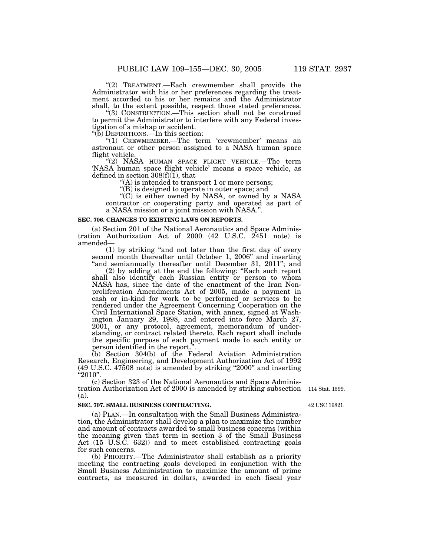"(2) TREATMENT.—Each crewmember shall provide the Administrator with his or her preferences regarding the treatment accorded to his or her remains and the Administrator shall, to the extent possible, respect those stated preferences.

''(3) CONSTRUCTION.—This section shall not be construed to permit the Administrator to interfere with any Federal investigation of a mishap or accident.

''(b) DEFINITIONS.—In this section:

"(1) CREWMEMBER.—The term 'crewmember' means an astronaut or other person assigned to a NASA human space flight vehicle.

''(2) NASA HUMAN SPACE FLIGHT VEHICLE.—The term 'NASA human space flight vehicle' means a space vehicle, as defined in section 308(f)(1), that

 $(A)$  is intended to transport 1 or more persons;

''(B) is designed to operate in outer space; and

''(C) is either owned by NASA, or owned by a NASA contractor or cooperating party and operated as part of a NASA mission or a joint mission with NASA.''.

#### **SEC. 706. CHANGES TO EXISTING LAWS ON REPORTS.**

(a) Section 201 of the National Aeronautics and Space Administration Authorization Act of 2000 (42 U.S.C. 2451 note) is amended—

(1) by striking ''and not later than the first day of every second month thereafter until October 1, 2006'' and inserting "and semiannually thereafter until December 31, 2011"; and

(2) by adding at the end the following: ''Each such report shall also identify each Russian entity or person to whom NASA has, since the date of the enactment of the Iran Nonproliferation Amendments Act of 2005, made a payment in cash or in-kind for work to be performed or services to be rendered under the Agreement Concerning Cooperation on the Civil International Space Station, with annex, signed at Washington January 29, 1998, and entered into force March 27, 2001, or any protocol, agreement, memorandum of understanding, or contract related thereto. Each report shall include the specific purpose of each payment made to each entity or person identified in the report.''.

(b) Section 304(b) of the Federal Aviation Administration Research, Engineering, and Development Authorization Act of 1992 (49 U.S.C. 47508 note) is amended by striking ''2000'' and inserting  $"2010"$ .

(c) Section 323 of the National Aeronautics and Space Administration Authorization Act of 2000 is amended by striking subsection (a).

### **SEC. 707. SMALL BUSINESS CONTRACTING.**

(a) PLAN.—In consultation with the Small Business Administration, the Administrator shall develop a plan to maximize the number and amount of contracts awarded to small business concerns (within the meaning given that term in section 3 of the Small Business Act (15 U.S.C. 632)) and to meet established contracting goals for such concerns.

(b) PRIORITY.—The Administrator shall establish as a priority meeting the contracting goals developed in conjunction with the Small Business Administration to maximize the amount of prime contracts, as measured in dollars, awarded in each fiscal year

114 Stat. 1599.

42 USC 16821.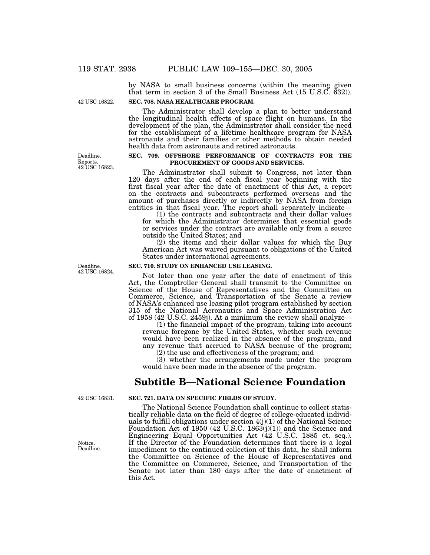by NASA to small business concerns (within the meaning given that term in section 3 of the Small Business Act (15 U.S.C. 632)).

42 USC 16822.

### **SEC. 708. NASA HEALTHCARE PROGRAM.**

The Administrator shall develop a plan to better understand the longitudinal health effects of space flight on humans. In the development of the plan, the Administrator shall consider the need for the establishment of a lifetime healthcare program for NASA astronauts and their families or other methods to obtain needed health data from astronauts and retired astronauts.

Deadline. Reports. 42 USC 16823.

### **SEC. 709. OFFSHORE PERFORMANCE OF CONTRACTS FOR THE PROCUREMENT OF GOODS AND SERVICES.**

The Administrator shall submit to Congress, not later than 120 days after the end of each fiscal year beginning with the first fiscal year after the date of enactment of this Act, a report on the contracts and subcontracts performed overseas and the amount of purchases directly or indirectly by NASA from foreign entities in that fiscal year. The report shall separately indicate—

(1) the contracts and subcontracts and their dollar values for which the Administrator determines that essential goods or services under the contract are available only from a source outside the United States; and

(2) the items and their dollar values for which the Buy American Act was waived pursuant to obligations of the United States under international agreements.

### **SEC. 710. STUDY ON ENHANCED USE LEASING.**

Not later than one year after the date of enactment of this Act, the Comptroller General shall transmit to the Committee on Science of the House of Representatives and the Committee on Commerce, Science, and Transportation of the Senate a review of NASA's enhanced use leasing pilot program established by section 315 of the National Aeronautics and Space Administration Act of 1958 (42 U.S.C. 2459j). At a minimum the review shall analyze—

(1) the financial impact of the program, taking into account revenue foregone by the United States, whether such revenue would have been realized in the absence of the program, and any revenue that accrued to NASA because of the program;

(2) the use and effectiveness of the program; and

(3) whether the arrangements made under the program would have been made in the absence of the program.

## **Subtitle B—National Science Foundation**

42 USC 16831.

Notice. Deadline. **SEC. 721. DATA ON SPECIFIC FIELDS OF STUDY.**

The National Science Foundation shall continue to collect statistically reliable data on the field of degree of college-educated individuals to fulfill obligations under section 4(j)(1) of the National Science Foundation Act of 1950 (42 U.S.C. 1863(j)(1)) and the Science and Engineering Equal Opportunities Act (42 U.S.C. 1885 et. seq.). If the Director of the Foundation determines that there is a legal impediment to the continued collection of this data, he shall inform the Committee on Science of the House of Representatives and the Committee on Commerce, Science, and Transportation of the Senate not later than 180 days after the date of enactment of this Act.

Deadline. 42 USC 16824.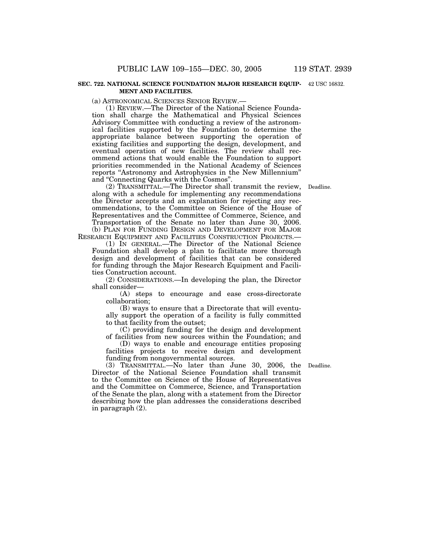#### **SEC. 722. NATIONAL SCIENCE FOUNDATION MAJOR RESEARCH EQUIP-**42 USC 16832. **MENT AND FACILITIES.**

(a) ASTRONOMICAL SCIENCES SENIOR REVIEW.—

(1) REVIEW.—The Director of the National Science Foundation shall charge the Mathematical and Physical Sciences Advisory Committee with conducting a review of the astronomical facilities supported by the Foundation to determine the appropriate balance between supporting the operation of existing facilities and supporting the design, development, and eventual operation of new facilities. The review shall recommend actions that would enable the Foundation to support priorities recommended in the National Academy of Sciences reports "Astronomy and Astrophysics in the New Millennium" and ''Connecting Quarks with the Cosmos''.

Deadline.

(2) TRANSMITTAL.—The Director shall transmit the review, along with a schedule for implementing any recommendations the Director accepts and an explanation for rejecting any recommendations, to the Committee on Science of the House of Representatives and the Committee of Commerce, Science, and Transportation of the Senate no later than June 30, 2006. (b) PLAN FOR FUNDING DESIGN AND DEVELOPMENT FOR MAJOR RESEARCH EQUIPMENT AND FACILITIES CONSTRUCTION PROJECTS.—

(1) IN GENERAL.—The Director of the National Science Foundation shall develop a plan to facilitate more thorough design and development of facilities that can be considered for funding through the Major Research Equipment and Facilities Construction account.

(2) CONSIDERATIONS.—In developing the plan, the Director shall consider—

(A) steps to encourage and ease cross-directorate collaboration;

(B) ways to ensure that a Directorate that will eventually support the operation of a facility is fully committed to that facility from the outset;

(C) providing funding for the design and development of facilities from new sources within the Foundation; and

(D) ways to enable and encourage entities proposing facilities projects to receive design and development funding from nongovernmental sources.

Deadline.

(3) TRANSMITTAL.—No later than June 30, 2006, the Director of the National Science Foundation shall transmit to the Committee on Science of the House of Representatives and the Committee on Commerce, Science, and Transportation of the Senate the plan, along with a statement from the Director describing how the plan addresses the considerations described in paragraph (2).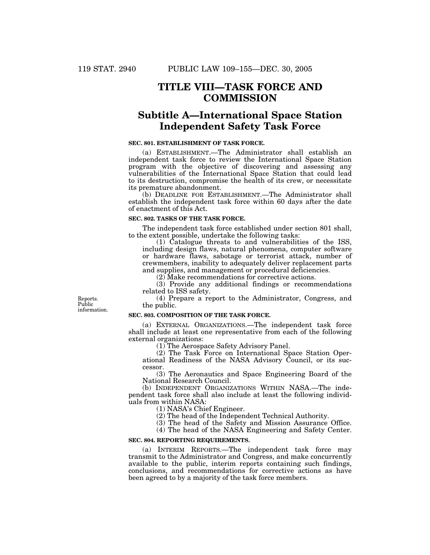## **TITLE VIII—TASK FORCE AND COMMISSION**

## **Subtitle A—International Space Station Independent Safety Task Force**

### **SEC. 801. ESTABLISHMENT OF TASK FORCE.**

(a) ESTABLISHMENT.—The Administrator shall establish an independent task force to review the International Space Station program with the objective of discovering and assessing any vulnerabilities of the International Space Station that could lead to its destruction, compromise the health of its crew, or necessitate its premature abandonment.

(b) DEADLINE FOR ESTABLISHMENT.—The Administrator shall establish the independent task force within 60 days after the date of enactment of this Act.

### **SEC. 802. TASKS OF THE TASK FORCE.**

The independent task force established under section 801 shall, to the extent possible, undertake the following tasks:

(1) Catalogue threats to and vulnerabilities of the ISS, including design flaws, natural phenomena, computer software or hardware flaws, sabotage or terrorist attack, number of crewmembers, inability to adequately deliver replacement parts and supplies, and management or procedural deficiencies.

(2) Make recommendations for corrective actions.

(3) Provide any additional findings or recommendations related to ISS safety.

(4) Prepare a report to the Administrator, Congress, and the public.

### **SEC. 803. COMPOSITION OF THE TASK FORCE.**

(a) EXTERNAL ORGANIZATIONS.—The independent task force shall include at least one representative from each of the following external organizations:

(1) The Aerospace Safety Advisory Panel.

(2) The Task Force on International Space Station Operational Readiness of the NASA Advisory Council, or its successor.

(3) The Aeronautics and Space Engineering Board of the National Research Council.

(b) INDEPENDENT ORGANIZATIONS WITHIN NASA.—The independent task force shall also include at least the following individuals from within NASA:

(1) NASA's Chief Engineer.

(2) The head of the Independent Technical Authority.

(3) The head of the Safety and Mission Assurance Office.

(4) The head of the NASA Engineering and Safety Center.

### **SEC. 804. REPORTING REQUIREMENTS.**

(a) INTERIM REPORTS.—The independent task force may transmit to the Administrator and Congress, and make concurrently available to the public, interim reports containing such findings, conclusions, and recommendations for corrective actions as have been agreed to by a majority of the task force members.

Reports. Public information.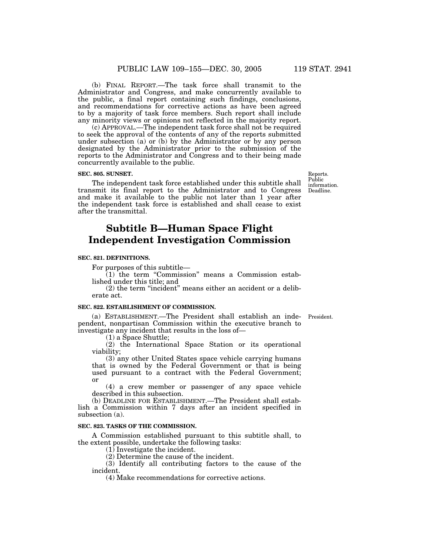(b) FINAL REPORT.—The task force shall transmit to the Administrator and Congress, and make concurrently available to the public, a final report containing such findings, conclusions, and recommendations for corrective actions as have been agreed to by a majority of task force members. Such report shall include any minority views or opinions not reflected in the majority report.

(c) APPROVAL.—The independent task force shall not be required to seek the approval of the contents of any of the reports submitted under subsection (a) or (b) by the Administrator or by any person designated by the Administrator prior to the submission of the reports to the Administrator and Congress and to their being made concurrently available to the public.

### **SEC. 805. SUNSET.**

The independent task force established under this subtitle shall transmit its final report to the Administrator and to Congress and make it available to the public not later than 1 year after the independent task force is established and shall cease to exist after the transmittal.

## **Subtitle B—Human Space Flight Independent Investigation Commission**

### **SEC. 821. DEFINITIONS.**

For purposes of this subtitle—

 $(1)$  the term "Commission" means a Commission established under this title; and

(2) the term ''incident'' means either an accident or a deliberate act.

#### **SEC. 822. ESTABLISHMENT OF COMMISSION.**

(a) ESTABLISHMENT.—The President shall establish an independent, nonpartisan Commission within the executive branch to investigate any incident that results in the loss of—

(1) a Space Shuttle;

(2) the International Space Station or its operational viability;

(3) any other United States space vehicle carrying humans that is owned by the Federal Government or that is being used pursuant to a contract with the Federal Government; or

(4) a crew member or passenger of any space vehicle described in this subsection.

(b) DEADLINE FOR ESTABLISHMENT.—The President shall establish a Commission within 7 days after an incident specified in subsection (a).

### **SEC. 823. TASKS OF THE COMMISSION.**

A Commission established pursuant to this subtitle shall, to the extent possible, undertake the following tasks:

 $(1)$  Investigate the incident.

(2) Determine the cause of the incident.

(3) Identify all contributing factors to the cause of the incident.

(4) Make recommendations for corrective actions.

Reports. Public information. Deadline.

President.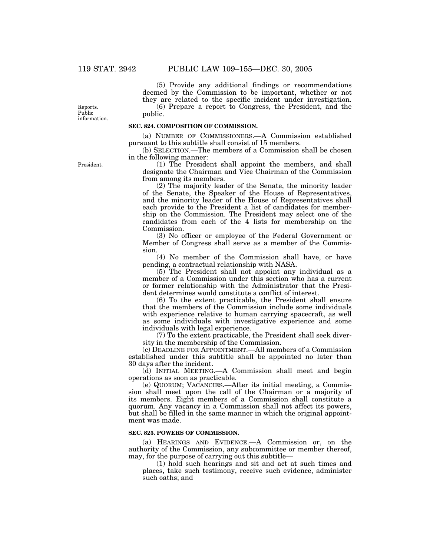(5) Provide any additional findings or recommendations deemed by the Commission to be important, whether or not they are related to the specific incident under investigation.

(6) Prepare a report to Congress, the President, and the public.

Reports. Public information.

### **SEC. 824. COMPOSITION OF COMMISSION.**

(a) NUMBER OF COMMISSIONERS.—A Commission established pursuant to this subtitle shall consist of 15 members.

(b) SELECTION.—The members of a Commission shall be chosen in the following manner:

(1) The President shall appoint the members, and shall designate the Chairman and Vice Chairman of the Commission from among its members.

(2) The majority leader of the Senate, the minority leader of the Senate, the Speaker of the House of Representatives, and the minority leader of the House of Representatives shall each provide to the President a list of candidates for membership on the Commission. The President may select one of the candidates from each of the 4 lists for membership on the Commission.

(3) No officer or employee of the Federal Government or Member of Congress shall serve as a member of the Commission.

(4) No member of the Commission shall have, or have pending, a contractual relationship with NASA.

(5) The President shall not appoint any individual as a member of a Commission under this section who has a current or former relationship with the Administrator that the President determines would constitute a conflict of interest.

(6) To the extent practicable, the President shall ensure that the members of the Commission include some individuals with experience relative to human carrying spacecraft, as well as some individuals with investigative experience and some individuals with legal experience.

(7) To the extent practicable, the President shall seek diversity in the membership of the Commission.

(c) DEADLINE FOR APPOINTMENT.—All members of a Commission established under this subtitle shall be appointed no later than 30 days after the incident.

(d) INITIAL MEETING.—A Commission shall meet and begin operations as soon as practicable.

(e) QUORUM; VACANCIES.—After its initial meeting, a Commission shall meet upon the call of the Chairman or a majority of its members. Eight members of a Commission shall constitute a quorum. Any vacancy in a Commission shall not affect its powers, but shall be filled in the same manner in which the original appointment was made.

### **SEC. 825. POWERS OF COMMISSION.**

(a) HEARINGS AND EVIDENCE.—A Commission or, on the authority of the Commission, any subcommittee or member thereof, may, for the purpose of carrying out this subtitle—

(1) hold such hearings and sit and act at such times and places, take such testimony, receive such evidence, administer such oaths; and

President.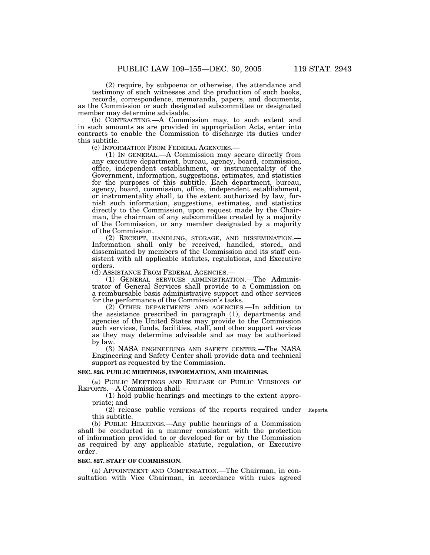(2) require, by subpoena or otherwise, the attendance and testimony of such witnesses and the production of such books, records, correspondence, memoranda, papers, and documents, as the Commission or such designated subcommittee or designated member may determine advisable.

(b) CONTRACTING.—A Commission may, to such extent and in such amounts as are provided in appropriation Acts, enter into contracts to enable the Commission to discharge its duties under this subtitle.<br>(c) INFORMATION FROM FEDERAL AGENCIES.-

 $(1)$  In GENERAL.—A Commission may secure directly from any executive department, bureau, agency, board, commission, office, independent establishment, or instrumentality of the Government, information, suggestions, estimates, and statistics for the purposes of this subtitle. Each department, bureau, agency, board, commission, office, independent establishment, or instrumentality shall, to the extent authorized by law, furnish such information, suggestions, estimates, and statistics directly to the Commission, upon request made by the Chairman, the chairman of any subcommittee created by a majority of the Commission, or any member designated by a majority of the Commission.

(2) RECEIPT, HANDLING, STORAGE, AND DISSEMINATION.— Information shall only be received, handled, stored, and disseminated by members of the Commission and its staff consistent with all applicable statutes, regulations, and Executive orders.<br>(d) Assistance From Federal Agencies.—

(1) GENERAL SERVICES ADMINISTRATION.—The Administrator of General Services shall provide to a Commission on a reimbursable basis administrative support and other services for the performance of the Commission's tasks.

(2) OTHER DEPARTMENTS AND AGENCIES.—In addition to the assistance prescribed in paragraph (1), departments and agencies of the United States may provide to the Commission such services, funds, facilities, staff, and other support services as they may determine advisable and as may be authorized by law.

(3) NASA ENGINEERING AND SAFETY CENTER.—The NASA Engineering and Safety Center shall provide data and technical support as requested by the Commission.

#### **SEC. 826. PUBLIC MEETINGS, INFORMATION, AND HEARINGS.**

(a) PUBLIC MEETINGS AND RELEASE OF PUBLIC VERSIONS OF REPORTS.—A Commission shall—

(1) hold public hearings and meetings to the extent appropriate; and

(2) release public versions of the reports required under Reports. this subtitle.

(b) PUBLIC HEARINGS.—Any public hearings of a Commission shall be conducted in a manner consistent with the protection of information provided to or developed for or by the Commission as required by any applicable statute, regulation, or Executive order.

#### **SEC. 827. STAFF OF COMMISSION.**

(a) APPOINTMENT AND COMPENSATION.—The Chairman, in consultation with Vice Chairman, in accordance with rules agreed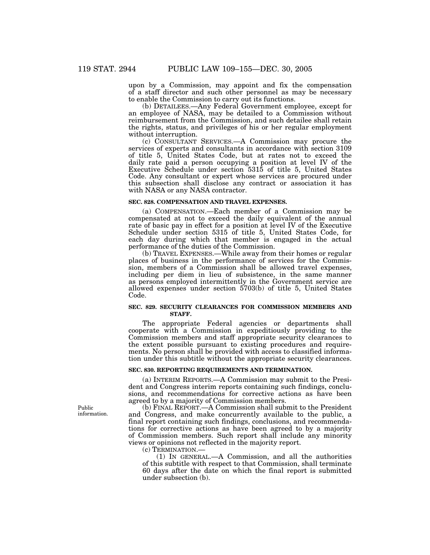upon by a Commission, may appoint and fix the compensation of a staff director and such other personnel as may be necessary to enable the Commission to carry out its functions.

(b) DETAILEES.—Any Federal Government employee, except for an employee of NASA, may be detailed to a Commission without reimbursement from the Commission, and such detailee shall retain the rights, status, and privileges of his or her regular employment without interruption.

(c) CONSULTANT SERVICES.—A Commission may procure the services of experts and consultants in accordance with section 3109 of title 5, United States Code, but at rates not to exceed the daily rate paid a person occupying a position at level IV of the Executive Schedule under section 5315 of title 5, United States Code. Any consultant or expert whose services are procured under this subsection shall disclose any contract or association it has with NASA or any NASA contractor.

### **SEC. 828. COMPENSATION AND TRAVEL EXPENSES.**

(a) COMPENSATION.—Each member of a Commission may be compensated at not to exceed the daily equivalent of the annual rate of basic pay in effect for a position at level IV of the Executive Schedule under section 5315 of title 5, United States Code, for each day during which that member is engaged in the actual performance of the duties of the Commission.

(b) TRAVEL EXPENSES.—While away from their homes or regular places of business in the performance of services for the Commission, members of a Commission shall be allowed travel expenses, including per diem in lieu of subsistence, in the same manner as persons employed intermittently in the Government service are allowed expenses under section 5703(b) of title 5, United States Code.

#### **SEC. 829. SECURITY CLEARANCES FOR COMMISSION MEMBERS AND STAFF.**

The appropriate Federal agencies or departments shall cooperate with a Commission in expeditiously providing to the Commission members and staff appropriate security clearances to the extent possible pursuant to existing procedures and requirements. No person shall be provided with access to classified information under this subtitle without the appropriate security clearances.

### **SEC. 830. REPORTING REQUIREMENTS AND TERMINATION.**

(a) INTERIM REPORTS.—A Commission may submit to the President and Congress interim reports containing such findings, conclusions, and recommendations for corrective actions as have been agreed to by a majority of Commission members.

(b) FINAL REPORT.—A Commission shall submit to the President and Congress, and make concurrently available to the public, a final report containing such findings, conclusions, and recommendations for corrective actions as have been agreed to by a majority of Commission members. Such report shall include any minority views or opinions not reflected in the majority report.

(c) TERMINATION.—

(1) IN GENERAL.—A Commission, and all the authorities of this subtitle with respect to that Commission, shall terminate 60 days after the date on which the final report is submitted under subsection (b).

Public information.